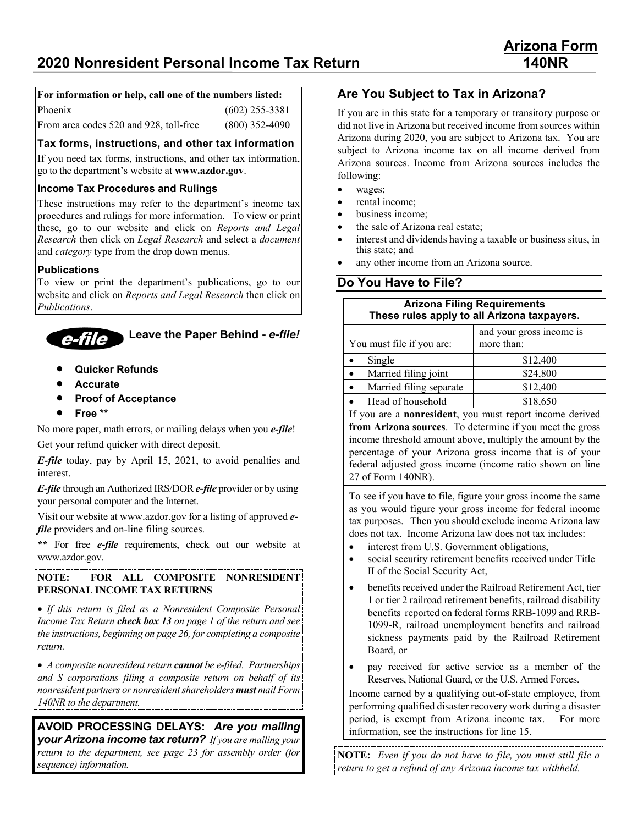## **For information or help, call one of the numbers listed:**

| Phoenix                                | $(602)$ 255-3381 |
|----------------------------------------|------------------|
| From area codes 520 and 928, toll-free | $(800)$ 352-4090 |

## **Tax forms, instructions, and other tax information**

If you need tax forms, instructions, and other tax information, go to the department's website at **www.azdor.gov**.

## **Income Tax Procedures and Rulings**

These instructions may refer to the department's income tax procedures and rulings for more information. To view or print these, go to our website and click on *Reports and Legal Research* then click on *Legal Research* and select a *document* and *category* type from the drop down menus.

## **Publications**

To view or print the department's publications, go to our website and click on *Reports and Legal Research* then click on *Publications*.



## **Leave the Paper Behind -** *e-file!*

- **Quicker Refunds**
- **Accurate**
- **Proof of Acceptance**
- **Free \*\***

No more paper, math errors, or mailing delays when you *e-file*! Get your refund quicker with direct deposit.

*E-file* today, pay by April 15, 2021, to avoid penalties and interest.

*E-file* through an Authorized IRS/DOR *e-file* provider or by using your personal computer and the Internet.

Visit our website at www.azdor.gov for a listing of approved *efile* providers and on-line filing sources.

**\*\*** For free *e-file* requirements, check out our website at www.azdor.gov.

#### **NOTE: FOR ALL COMPOSITE NONRESIDENT PERSONAL INCOME TAX RETURNS**

• *If this return is filed as a Nonresident Composite Personal Income Tax Return check box 13 on page 1 of the return and see the instructions, beginning on page 26, for completing a composite return.*

• *A composite nonresident return cannot be e-filed. Partnerships and S corporations filing a composite return on behalf of its nonresident partners or nonresident shareholders must mail Form 140NR to the department.*

**AVOID PROCESSING DELAYS:** *Are you mailing your Arizona income tax return? If you are mailing your return to the department, see page 23 for assembly order (for sequence) information.*

## **Are You Subject to Tax in Arizona?**

If you are in this state for a temporary or transitory purpose or did not live in Arizona but received income from sources within Arizona during 2020, you are subject to Arizona tax. You are subject to Arizona income tax on all income derived from Arizona sources. Income from Arizona sources includes the following:

- wages;
- rental income;
- business income:
- the sale of Arizona real estate;
- interest and dividends having a taxable or business situs, in this state; and
- any other income from an Arizona source.

## **Do You Have to File?**

| <b>Arizona Filing Requirements</b><br>These rules apply to all Arizona taxpayers. |                                                       |  |  |  |
|-----------------------------------------------------------------------------------|-------------------------------------------------------|--|--|--|
| and your gross income is                                                          |                                                       |  |  |  |
| You must file if you are:                                                         | more than:                                            |  |  |  |
| Single                                                                            | \$12,400                                              |  |  |  |
| Married filing joint                                                              | \$24,800                                              |  |  |  |
| Married filing separate                                                           | \$12,400                                              |  |  |  |
| \$18,650<br>Head of household                                                     |                                                       |  |  |  |
| If you are a <b>nonresident</b> , you must report income derived                  |                                                       |  |  |  |
|                                                                                   | fuero Antonio consider T. Johanning Correspondito and |  |  |  |

**from Arizona sources**. To determine if you meet the gross income threshold amount above, multiply the amount by the percentage of your Arizona gross income that is of your federal adjusted gross income (income ratio shown on line 27 of Form 140NR).

To see if you have to file, figure your gross income the same as you would figure your gross income for federal income tax purposes. Then you should exclude income Arizona law does not tax. Income Arizona law does not tax includes:

- interest from U.S. Government obligations,
- social security retirement benefits received under Title II of the Social Security Act,
- benefits received under the Railroad Retirement Act, tier 1 or tier 2 railroad retirement benefits, railroad disability benefits reported on federal forms RRB-1099 and RRB-1099-R, railroad unemployment benefits and railroad sickness payments paid by the Railroad Retirement Board, or
- pay received for active service as a member of the Reserves, National Guard, or the U.S. Armed Forces.

Income earned by a qualifying out-of-state employee, from performing qualified disaster recovery work during a disaster period, is exempt from Arizona income tax. For more information, see the instructions for line 15.

**NOTE:** *Even if you do not have to file, you must still file a return to get a refund of any Arizona income tax withheld.*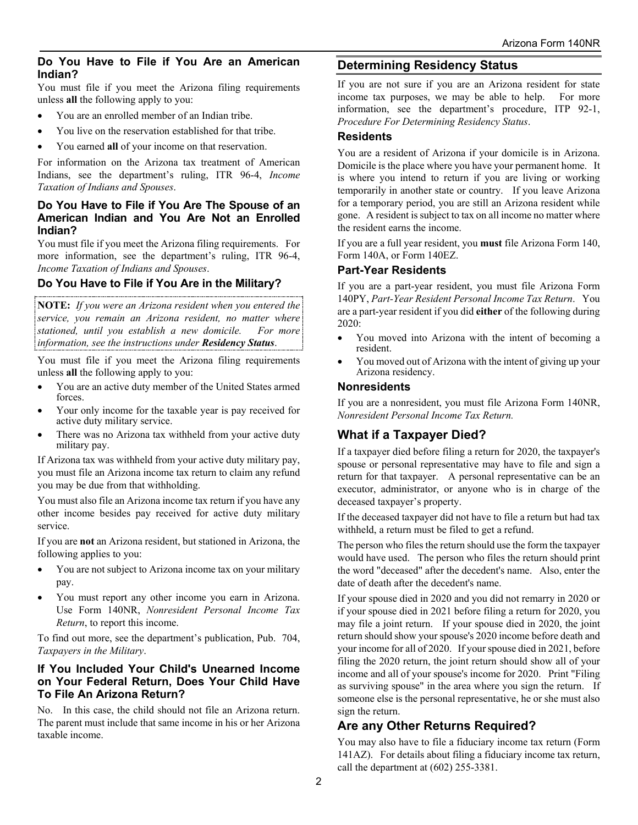## **Do You Have to File if You Are an American Indian?**

You must file if you meet the Arizona filing requirements unless **all** the following apply to you:

- You are an enrolled member of an Indian tribe.
- You live on the reservation established for that tribe.
- You earned **all** of your income on that reservation.

For information on the Arizona tax treatment of American Indians, see the department's ruling, ITR 96-4, *Income Taxation of Indians and Spouses*.

## **Do You Have to File if You Are The Spouse of an American Indian and You Are Not an Enrolled Indian?**

You must file if you meet the Arizona filing requirements. For more information, see the department's ruling, ITR 96-4, *Income Taxation of Indians and Spouses*.

## **Do You Have to File if You Are in the Military?**

**NOTE:** *If you were an Arizona resident when you entered the service, you remain an Arizona resident, no matter where stationed, until you establish a new domicile. For more information, see the instructions under Residency Status*.

You must file if you meet the Arizona filing requirements unless **all** the following apply to you:

- You are an active duty member of the United States armed forces.
- Your only income for the taxable year is pay received for active duty military service.
- There was no Arizona tax withheld from your active duty military pay.

If Arizona tax was withheld from your active duty military pay, you must file an Arizona income tax return to claim any refund you may be due from that withholding.

You must also file an Arizona income tax return if you have any other income besides pay received for active duty military service.

If you are **not** an Arizona resident, but stationed in Arizona, the following applies to you:

- You are not subject to Arizona income tax on your military pay.
- You must report any other income you earn in Arizona. Use Form 140NR, *Nonresident Personal Income Tax Return*, to report this income.

To find out more, see the department's publication, Pub. 704, *Taxpayers in the Military*.

## **If You Included Your Child's Unearned Income on Your Federal Return, Does Your Child Have To File An Arizona Return?**

No. In this case, the child should not file an Arizona return. The parent must include that same income in his or her Arizona taxable income.

## **Determining Residency Status**

If you are not sure if you are an Arizona resident for state income tax purposes, we may be able to help. For more information, see the department's procedure, ITP 92-1, *Procedure For Determining Residency Status*.

## **Residents**

You are a resident of Arizona if your domicile is in Arizona. Domicile is the place where you have your permanent home. It is where you intend to return if you are living or working temporarily in another state or country. If you leave Arizona for a temporary period, you are still an Arizona resident while gone. A resident is subject to tax on all income no matter where the resident earns the income.

If you are a full year resident, you **must** file Arizona Form 140, Form 140A, or Form 140EZ.

## **Part-Year Residents**

If you are a part-year resident, you must file Arizona Form 140PY, *Part-Year Resident Personal Income Tax Return*. You are a part-year resident if you did **either** of the following during 2020:

- You moved into Arizona with the intent of becoming a resident.
- You moved out of Arizona with the intent of giving up your Arizona residency.

## **Nonresidents**

If you are a nonresident, you must file Arizona Form 140NR, *Nonresident Personal Income Tax Return.*

## **What if a Taxpayer Died?**

If a taxpayer died before filing a return for 2020, the taxpayer's spouse or personal representative may have to file and sign a return for that taxpayer. A personal representative can be an executor, administrator, or anyone who is in charge of the deceased taxpayer's property.

If the deceased taxpayer did not have to file a return but had tax withheld, a return must be filed to get a refund.

The person who files the return should use the form the taxpayer would have used. The person who files the return should print the word "deceased" after the decedent's name. Also, enter the date of death after the decedent's name.

If your spouse died in 2020 and you did not remarry in 2020 or if your spouse died in 2021 before filing a return for 2020, you may file a joint return. If your spouse died in 2020, the joint return should show your spouse's 2020 income before death and your income for all of 2020. If your spouse died in 2021, before filing the 2020 return, the joint return should show all of your income and all of your spouse's income for 2020. Print "Filing as surviving spouse" in the area where you sign the return. If someone else is the personal representative, he or she must also sign the return.

## **Are any Other Returns Required?**

You may also have to file a fiduciary income tax return (Form 141AZ). For details about filing a fiduciary income tax return, call the department at (602) 255-3381.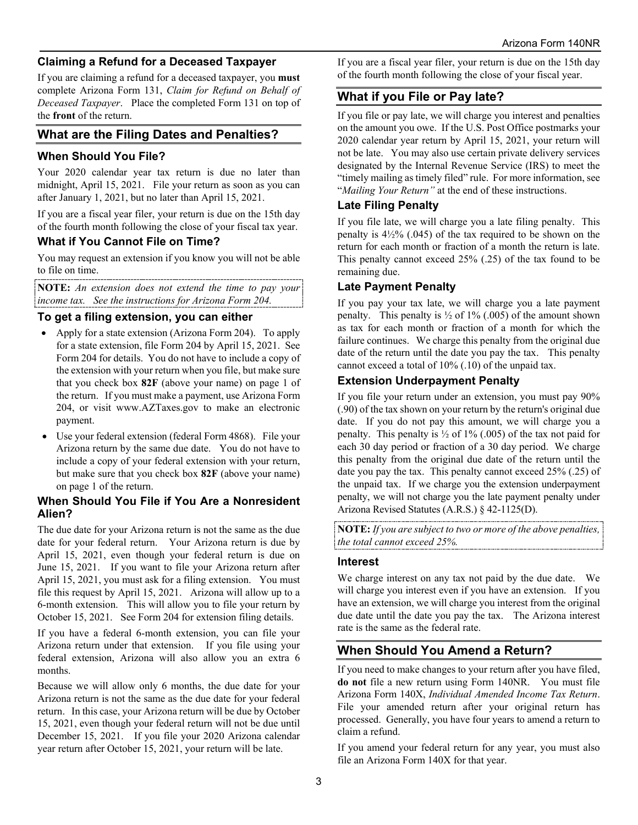## **Claiming a Refund for a Deceased Taxpayer**

If you are claiming a refund for a deceased taxpayer, you **must** complete Arizona Form 131, *Claim for Refund on Behalf of Deceased Taxpayer*. Place the completed Form 131 on top of the **front** of the return.

## **What are the Filing Dates and Penalties?**

## **When Should You File?**

Your 2020 calendar year tax return is due no later than midnight, April 15, 2021. File your return as soon as you can after January 1, 2021, but no later than April 15, 2021.

If you are a fiscal year filer, your return is due on the 15th day of the fourth month following the close of your fiscal tax year.

## **What if You Cannot File on Time?**

You may request an extension if you know you will not be able to file on time.

**NOTE:** *An extension does not extend the time to pay your income tax. See the instructions for Arizona Form 204.*

## **To get a filing extension, you can either**

- Apply for a state extension (Arizona Form 204). To apply for a state extension, file Form 204 by April 15, 2021. See Form 204 for details. You do not have to include a copy of the extension with your return when you file, but make sure that you check box **82F** (above your name) on page 1 of the return. If you must make a payment, use Arizona Form 204, or visit www.AZTaxes.gov to make an electronic payment.
- Use your federal extension (federal Form 4868). File your Arizona return by the same due date. You do not have to include a copy of your federal extension with your return, but make sure that you check box **82F** (above your name) on page 1 of the return.

## **When Should You File if You Are a Nonresident Alien?**

The due date for your Arizona return is not the same as the due date for your federal return. Your Arizona return is due by April 15, 2021, even though your federal return is due on June 15, 2021. If you want to file your Arizona return after April 15, 2021, you must ask for a filing extension. You must file this request by April 15, 2021. Arizona will allow up to a 6-month extension. This will allow you to file your return by October 15, 2021. See Form 204 for extension filing details.

If you have a federal 6-month extension, you can file your Arizona return under that extension. If you file using your federal extension, Arizona will also allow you an extra 6 months.

Because we will allow only 6 months, the due date for your Arizona return is not the same as the due date for your federal return. In this case, your Arizona return will be due by October 15, 2021, even though your federal return will not be due until December 15, 2021. If you file your 2020 Arizona calendar year return after October 15, 2021, your return will be late.

If you are a fiscal year filer, your return is due on the 15th day of the fourth month following the close of your fiscal year.

## **What if you File or Pay late?**

If you file or pay late, we will charge you interest and penalties on the amount you owe. If the U.S. Post Office postmarks your 2020 calendar year return by April 15, 2021, your return will not be late. You may also use certain private delivery services designated by the Internal Revenue Service (IRS) to meet the "timely mailing as timely filed" rule. For more information, see "*Mailing Your Return"* at the end of these instructions.

## **Late Filing Penalty**

If you file late, we will charge you a late filing penalty. This penalty is 4½% (.045) of the tax required to be shown on the return for each month or fraction of a month the return is late. This penalty cannot exceed 25% (.25) of the tax found to be remaining due.

## **Late Payment Penalty**

If you pay your tax late, we will charge you a late payment penalty. This penalty is  $\frac{1}{2}$  of 1% (.005) of the amount shown as tax for each month or fraction of a month for which the failure continues. We charge this penalty from the original due date of the return until the date you pay the tax. This penalty cannot exceed a total of 10% (.10) of the unpaid tax.

## **Extension Underpayment Penalty**

If you file your return under an extension, you must pay 90% (.90) of the tax shown on your return by the return's original due date. If you do not pay this amount, we will charge you a penalty. This penalty is  $\frac{1}{2}$  of 1% (.005) of the tax not paid for each 30 day period or fraction of a 30 day period. We charge this penalty from the original due date of the return until the date you pay the tax. This penalty cannot exceed 25% (.25) of the unpaid tax. If we charge you the extension underpayment penalty, we will not charge you the late payment penalty under Arizona Revised Statutes (A.R.S.) § 42-1125(D).

**NOTE:** *If you are subject to two or more of the above penalties, the total cannot exceed 25%.*

## **Interest**

We charge interest on any tax not paid by the due date. We will charge you interest even if you have an extension. If you have an extension, we will charge you interest from the original due date until the date you pay the tax. The Arizona interest rate is the same as the federal rate.

## **When Should You Amend a Return?**

If you need to make changes to your return after you have filed, **do not** file a new return using Form 140NR. You must file Arizona Form 140X, *Individual Amended Income Tax Return*. File your amended return after your original return has processed. Generally, you have four years to amend a return to claim a refund.

If you amend your federal return for any year, you must also file an Arizona Form 140X for that year.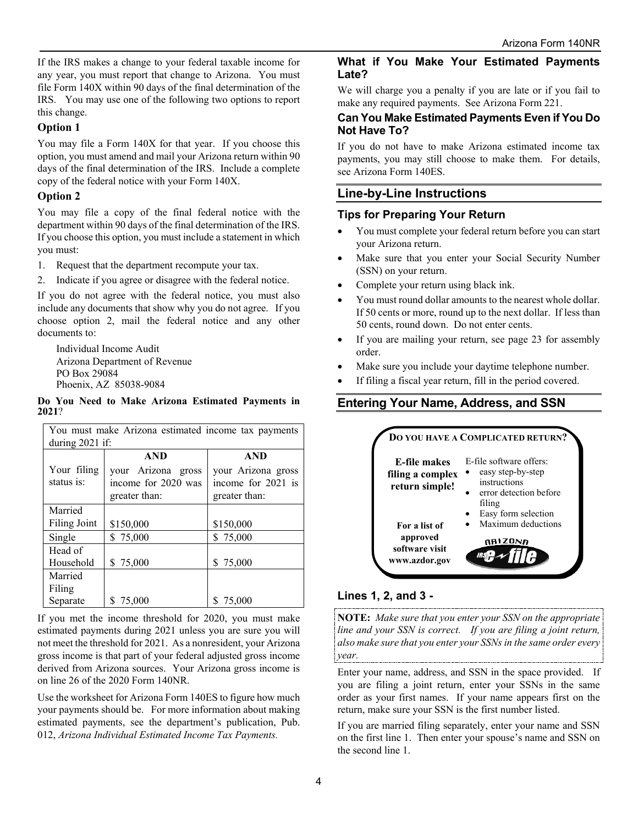If the IRS makes a change to your federal taxable income for any year, you must report that change to Arizona. You must file Form 140X within 90 days of the final determination of the IRS. You may use one of the following two options to report this change.

## **Option 1**

You may file a Form 140X for that year. If you choose this option, you must amend and mail your Arizona return within 90 days of the final determination of the IRS. Include a complete copy of the federal notice with your Form 140X.

## **Option 2**

You may file a copy of the final federal notice with the department within 90 days of the final determination of the IRS. If you choose this option, you must include a statement in which you must:

1. Request that the department recompute your tax.

2. Indicate if you agree or disagree with the federal notice.

If you do not agree with the federal notice, you must also include any documents that show why you do not agree. If you choose option 2, mail the federal notice and any other documents to:

Individual Income Audit Arizona Department of Revenue PO Box 29084 Phoenix, AZ 85038-9084

**Do You Need to Make Arizona Estimated Payments in 2021**?

| You must make Arizona estimated income tax payments |                     |                    |  |  |  |
|-----------------------------------------------------|---------------------|--------------------|--|--|--|
| during 2021 if:                                     |                     |                    |  |  |  |
|                                                     | <b>AND</b>          | AND                |  |  |  |
| Your filing                                         | your Arizona gross  | your Arizona gross |  |  |  |
| status is:                                          | income for 2020 was | income for 2021 is |  |  |  |
|                                                     | greater than:       | greater than:      |  |  |  |
| Married                                             |                     |                    |  |  |  |
| Filing Joint                                        | \$150,000           | \$150,000          |  |  |  |
| Single                                              | \$75,000            | \$75,000           |  |  |  |
| Head of                                             |                     |                    |  |  |  |
| Household                                           | \$75,000            | \$75,000           |  |  |  |
| Married                                             |                     |                    |  |  |  |
| Filing                                              |                     |                    |  |  |  |
| Separate                                            | 75,000<br>S.        | \$75,000           |  |  |  |

If you met the income threshold for 2020, you must make estimated payments during 2021 unless you are sure you will not meet the threshold for 2021. As a nonresident, your Arizona gross income is that part of your federal adjusted gross income derived from Arizona sources. Your Arizona gross income is on line 26 of the 2020 Form 140NR.

Use the worksheet for Arizona Form 140ES to figure how much your payments should be. For more information about making estimated payments, see the department's publication, Pub. 012, *Arizona Individual Estimated Income Tax Payments.*

## **What if You Make Your Estimated Payments Late?**

We will charge you a penalty if you are late or if you fail to make any required payments. See Arizona Form 221.

## **Can You Make Estimated Payments Even if You Do Not Have To?**

If you do not have to make Arizona estimated income tax payments, you may still choose to make them. For details, see Arizona Form 140ES.

## **Line-by-Line Instructions**

## **Tips for Preparing Your Return**

- You must complete your federal return before you can start your Arizona return.
- Make sure that you enter your Social Security Number (SSN) on your return.
- Complete your return using black ink.
- You must round dollar amounts to the nearest whole dollar. If 50 cents or more, round up to the next dollar. If less than 50 cents, round down. Do not enter cents.
- If you are mailing your return, see page 23 for assembly order.
- Make sure you include your daytime telephone number.
- If filing a fiscal year return, fill in the period covered.

## **Entering Your Name, Address, and SSN**



## **Lines 1, 2, and 3 -**

**NOTE:** *Make sure that you enter your SSN on the appropriate line and your SSN is correct. If you are filing a joint return, also make sure that you enter your SSNs in the same order every year.* 

Enter your name, address, and SSN in the space provided. If you are filing a joint return, enter your SSNs in the same order as your first names. If your name appears first on the return, make sure your SSN is the first number listed.

If you are married filing separately, enter your name and SSN on the first line 1. Then enter your spouse's name and SSN on the second line 1.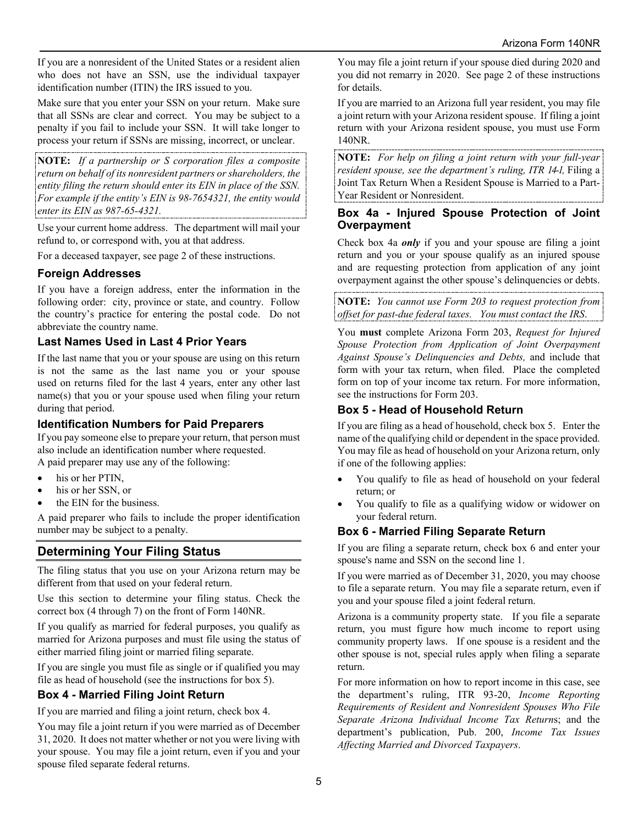If you are a nonresident of the United States or a resident alien who does not have an SSN, use the individual taxpayer identification number (ITIN) the IRS issued to you.

Make sure that you enter your SSN on your return. Make sure that all SSNs are clear and correct. You may be subject to a penalty if you fail to include your SSN. It will take longer to process your return if SSNs are missing, incorrect, or unclear.

**NOTE:** *If a partnership or S corporation files a composite return on behalf of its nonresident partners or shareholders, the entity filing the return should enter its EIN in place of the SSN. For example if the entity's EIN is 98-7654321, the entity would enter its EIN as 987-65-4321.* 

Use your current home address. The department will mail your refund to, or correspond with, you at that address.

For a deceased taxpayer, see page 2 of these instructions.

## **Foreign Addresses**

If you have a foreign address, enter the information in the following order: city, province or state, and country. Follow the country's practice for entering the postal code. Do not abbreviate the country name.

## **Last Names Used in Last 4 Prior Years**

If the last name that you or your spouse are using on this return is not the same as the last name you or your spouse used on returns filed for the last 4 years, enter any other last name(s) that you or your spouse used when filing your return during that period.

## **Identification Numbers for Paid Preparers**

If you pay someone else to prepare your return, that person must also include an identification number where requested.

A paid preparer may use any of the following:

- his or her PTIN.
- his or her SSN, or
- the EIN for the business.

A paid preparer who fails to include the proper identification number may be subject to a penalty.

## **Determining Your Filing Status**

The filing status that you use on your Arizona return may be different from that used on your federal return.

Use this section to determine your filing status. Check the correct box (4 through 7) on the front of Form 140NR.

If you qualify as married for federal purposes, you qualify as married for Arizona purposes and must file using the status of either married filing joint or married filing separate.

If you are single you must file as single or if qualified you may file as head of household (see the instructions for box 5).

## **Box 4 - Married Filing Joint Return**

If you are married and filing a joint return, check box 4.

You may file a joint return if you were married as of December 31, 2020. It does not matter whether or not you were living with your spouse. You may file a joint return, even if you and your spouse filed separate federal returns.

You may file a joint return if your spouse died during 2020 and you did not remarry in 2020. See page 2 of these instructions for details.

If you are married to an Arizona full year resident, you may file a joint return with your Arizona resident spouse. If filing a joint return with your Arizona resident spouse, you must use Form 140NR.

**NOTE:** *For help on filing a joint return with your full-year resident spouse, see the department's ruling, ITR 14-1,* Filing a Joint Tax Return When a Resident Spouse is Married to a Part-Year Resident or Nonresident.

## **Box 4a - Injured Spouse Protection of Joint Overpayment**

Check box 4a *only* if you and your spouse are filing a joint return and you or your spouse qualify as an injured spouse and are requesting protection from application of any joint overpayment against the other spouse's delinquencies or debts.

**NOTE:** *You cannot use Form 203 to request protection from offset for past-due federal taxes. You must contact the IRS*.

You **must** complete Arizona Form 203, *Request for Injured Spouse Protection from Application of Joint Overpayment Against Spouse's Delinquencies and Debts,* and include that form with your tax return, when filed. Place the completed form on top of your income tax return. For more information, see the instructions for Form 203.

## **Box 5 - Head of Household Return**

If you are filing as a head of household, check box 5. Enter the name of the qualifying child or dependent in the space provided. You may file as head of household on your Arizona return, only if one of the following applies:

- You qualify to file as head of household on your federal return; or
- You qualify to file as a qualifying widow or widower on your federal return.

## **Box 6 - Married Filing Separate Return**

If you are filing a separate return, check box 6 and enter your spouse's name and SSN on the second line 1.

If you were married as of December 31, 2020, you may choose to file a separate return. You may file a separate return, even if you and your spouse filed a joint federal return.

Arizona is a community property state. If you file a separate return, you must figure how much income to report using community property laws. If one spouse is a resident and the other spouse is not, special rules apply when filing a separate return.

For more information on how to report income in this case, see the department's ruling, ITR 93-20, *Income Reporting Requirements of Resident and Nonresident Spouses Who File Separate Arizona Individual Income Tax Return*s; and the department's publication, Pub. 200, *Income Tax Issues Affecting Married and Divorced Taxpayers*.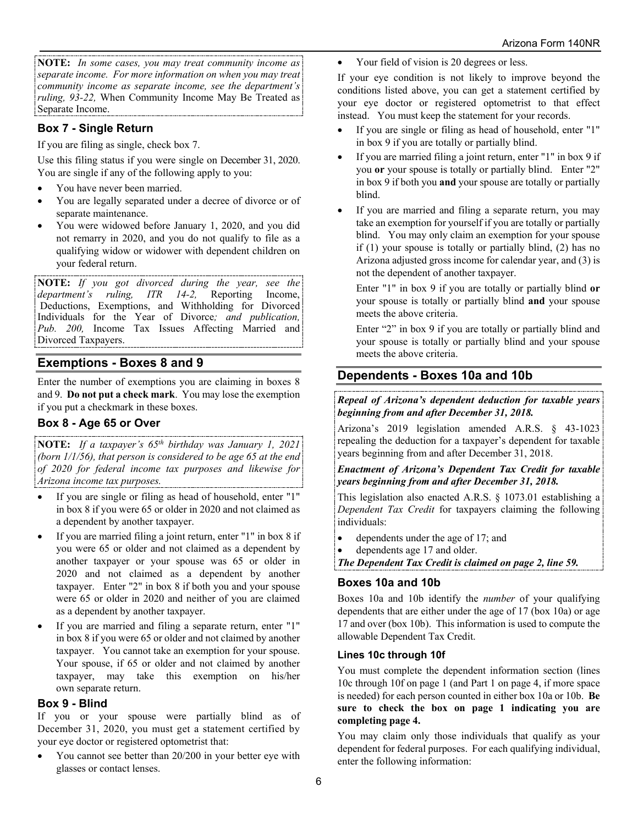**NOTE:** *In some cases, you may treat community income as separate income. For more information on when you may treat community income as separate income, see the department's ruling, 93-22,* When Community Income May Be Treated as Separate Income.

## **Box 7 - Single Return**

If you are filing as single, check box 7.

Use this filing status if you were single on December 31, 2020. You are single if any of the following apply to you:

- You have never been married.
- You are legally separated under a decree of divorce or of separate maintenance.
- You were widowed before January 1, 2020, and you did not remarry in 2020, and you do not qualify to file as a qualifying widow or widower with dependent children on your federal return.

**NOTE:** *If you got divorced during the year, see the department's ruling, ITR 14-2,* Reporting Income, Deductions, Exemptions, and Withholding for Divorced Individuals for the Year of Divorce*; and publication, Pub. 200,* Income Tax Issues Affecting Married and Divorced Taxpayers.

## **Exemptions - Boxes 8 and 9**

Enter the number of exemptions you are claiming in boxes 8 and 9. **Do not put a check mark**. You may lose the exemption if you put a checkmark in these boxes.

## **Box 8 - Age 65 or Over**

**NOTE:** *If a taxpayer's 65th birthday was January 1, 2021 (born 1/1/56), that person is considered to be age 65 at the end of 2020 for federal income tax purposes and likewise for Arizona income tax purposes.*

- If you are single or filing as head of household, enter "1" in box 8 if you were 65 or older in 2020 and not claimed as a dependent by another taxpayer.
- If you are married filing a joint return, enter "1" in box 8 if you were 65 or older and not claimed as a dependent by another taxpayer or your spouse was 65 or older in 2020 and not claimed as a dependent by another taxpayer. Enter "2" in box 8 if both you and your spouse were 65 or older in 2020 and neither of you are claimed as a dependent by another taxpayer.
- If you are married and filing a separate return, enter "1" in box 8 if you were 65 or older and not claimed by another taxpayer. You cannot take an exemption for your spouse. Your spouse, if 65 or older and not claimed by another taxpayer, may take this exemption on his/her own separate return.

## **Box 9 - Blind**

If you or your spouse were partially blind as of December 31, 2020, you must get a statement certified by your eye doctor or registered optometrist that:

• You cannot see better than 20/200 in your better eye with glasses or contact lenses.

• Your field of vision is 20 degrees or less.

If your eye condition is not likely to improve beyond the conditions listed above, you can get a statement certified by your eye doctor or registered optometrist to that effect instead. You must keep the statement for your records.

- If you are single or filing as head of household, enter "1" in box 9 if you are totally or partially blind.
- If you are married filing a joint return, enter "1" in box 9 if you **or** your spouse is totally or partially blind. Enter "2" in box 9 if both you **and** your spouse are totally or partially blind.
- If you are married and filing a separate return, you may take an exemption for yourself if you are totally or partially blind. You may only claim an exemption for your spouse if (1) your spouse is totally or partially blind, (2) has no Arizona adjusted gross income for calendar year, and (3) is not the dependent of another taxpayer.

Enter "1" in box 9 if you are totally or partially blind **or** your spouse is totally or partially blind **and** your spouse meets the above criteria.

Enter "2" in box 9 if you are totally or partially blind and your spouse is totally or partially blind and your spouse meets the above criteria.

## **Dependents - Boxes 10a and 10b**

## *Repeal of Arizona's dependent deduction for taxable years beginning from and after December 31, 2018.*

Arizona's 2019 legislation amended A.R.S. § 43-1023 repealing the deduction for a taxpayer's dependent for taxable years beginning from and after December 31, 2018.

## *Enactment of Arizona's Dependent Tax Credit for taxable years beginning from and after December 31, 2018.*

This legislation also enacted A.R.S. § 1073.01 establishing a *Dependent Tax Credit* for taxpayers claiming the following individuals:

- dependents under the age of 17; and
- dependents age 17 and older.
- *The Dependent Tax Credit is claimed on page 2, line 59.*

## **Boxes 10a and 10b**

Boxes 10a and 10b identify the *number* of your qualifying dependents that are either under the age of 17 (box 10a) or age 17 and over (box 10b). This information is used to compute the allowable Dependent Tax Credit.

## **Lines 10c through 10f**

You must complete the dependent information section (lines 10c through 10f on page 1 (and Part 1 on page 4, if more space is needed) for each person counted in either box 10a or 10b. **Be sure to check the box on page 1 indicating you are completing page 4.** 

You may claim only those individuals that qualify as your dependent for federal purposes. For each qualifying individual, enter the following information: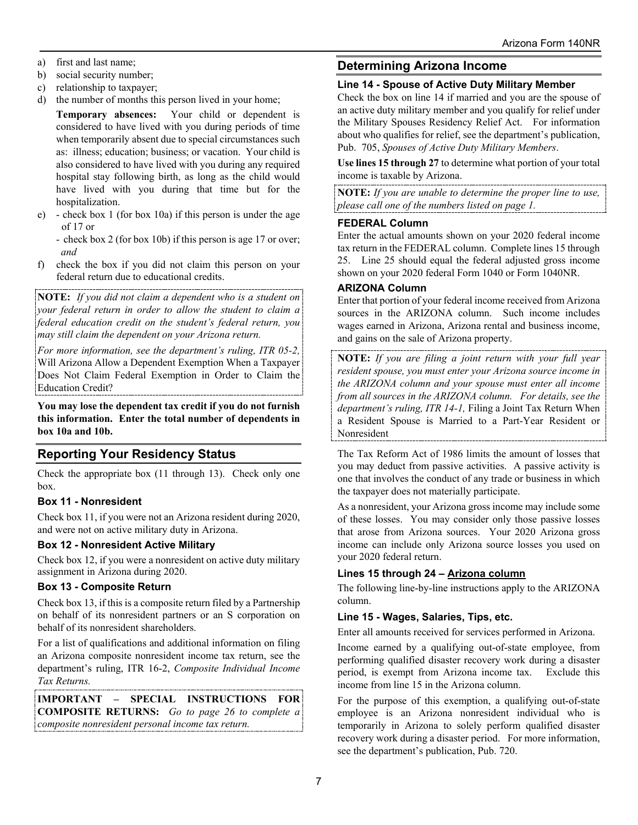- a) first and last name;
- b) social security number;
- c) relationship to taxpayer;
- d) the number of months this person lived in your home;

**Temporary absences:** Your child or dependent is considered to have lived with you during periods of time when temporarily absent due to special circumstances such as: illness; education; business; or vacation. Your child is also considered to have lived with you during any required hospital stay following birth, as long as the child would have lived with you during that time but for the hospitalization.

- e) check box 1 (for box 10a) if this person is under the age of 17 or
	- check box 2 (for box 10b) if this person is age 17 or over; *and*
- f) check the box if you did not claim this person on your federal return due to educational credits.

**NOTE:** *If you did not claim a dependent who is a student on your federal return in order to allow the student to claim a federal education credit on the student's federal return, you may still claim the dependent on your Arizona return.* 

*For more information, see the department's ruling, ITR 05-2,* Will Arizona Allow a Dependent Exemption When a Taxpayer Does Not Claim Federal Exemption in Order to Claim the Education Credit?

**You may lose the dependent tax credit if you do not furnish this information. Enter the total number of dependents in box 10a and 10b.**

## **Reporting Your Residency Status**

Check the appropriate box (11 through 13). Check only one box.

## **Box 11 - Nonresident**

Check box 11, if you were not an Arizona resident during 2020, and were not on active military duty in Arizona.

#### **Box 12 - Nonresident Active Military**

Check box 12, if you were a nonresident on active duty military assignment in Arizona during 2020.

## **Box 13 - Composite Return**

Check box 13, if this is a composite return filed by a Partnership on behalf of its nonresident partners or an S corporation on behalf of its nonresident shareholders.

For a list of qualifications and additional information on filing an Arizona composite nonresident income tax return, see the department's ruling, ITR 16-2, *Composite Individual Income Tax Returns.*

**IMPORTANT – SPECIAL INSTRUCTIONS FOR COMPOSITE RETURNS:** *Go to page 26 to complete a composite nonresident personal income tax return.*

## **Determining Arizona Income**

## **Line 14 - Spouse of Active Duty Military Member**

Check the box on line 14 if married and you are the spouse of an active duty military member and you qualify for relief under the Military Spouses Residency Relief Act. For information about who qualifies for relief, see the department's publication, Pub. 705, *Spouses of Active Duty Military Members*.

**Use lines 15 through 27** to determine what portion of your total income is taxable by Arizona.

**NOTE:** *If you are unable to determine the proper line to use, please call one of the numbers listed on page 1.*

## **FEDERAL Column**

Enter the actual amounts shown on your 2020 federal income tax return in the FEDERAL column. Complete lines 15 through 25. Line 25 should equal the federal adjusted gross income shown on your 2020 federal Form 1040 or Form 1040NR.

## **ARIZONA Column**

Enter that portion of your federal income received from Arizona sources in the ARIZONA column. Such income includes wages earned in Arizona, Arizona rental and business income, and gains on the sale of Arizona property.

**NOTE:** *If you are filing a joint return with your full year resident spouse, you must enter your Arizona source income in the ARIZONA column and your spouse must enter all income from all sources in the ARIZONA column. For details, see the department's ruling, ITR 14-1,* Filing a Joint Tax Return When a Resident Spouse is Married to a Part-Year Resident or Nonresident

The Tax Reform Act of 1986 limits the amount of losses that you may deduct from passive activities. A passive activity is one that involves the conduct of any trade or business in which the taxpayer does not materially participate.

As a nonresident, your Arizona gross income may include some of these losses. You may consider only those passive losses that arose from Arizona sources. Your 2020 Arizona gross income can include only Arizona source losses you used on your 2020 federal return.

## **Lines 15 through 24 – Arizona column**

The following line-by-line instructions apply to the ARIZONA column.

## **Line 15 - Wages, Salaries, Tips, etc.**

Enter all amounts received for services performed in Arizona.

Income earned by a qualifying out-of-state employee, from performing qualified disaster recovery work during a disaster period, is exempt from Arizona income tax. Exclude this income from line 15 in the Arizona column.

For the purpose of this exemption, a qualifying out-of-state employee is an Arizona nonresident individual who is temporarily in Arizona to solely perform qualified disaster recovery work during a disaster period. For more information, see the department's publication, Pub. 720.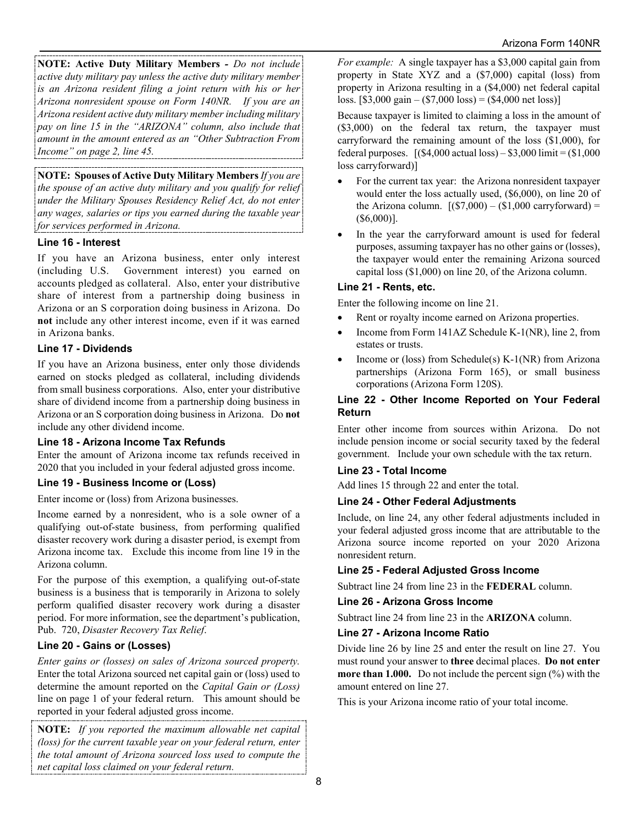**NOTE: Active Duty Military Members** *- Do not include active duty military pay unless the active duty military member is an Arizona resident filing a joint return with his or her Arizona nonresident spouse on Form 140NR. If you are an Arizona resident active duty military member including military pay on line 15 in the "ARIZONA" column, also include that amount in the amount entered as an "Other Subtraction From Income" on page 2, line 45.* 

**NOTE: Spouses of Active Duty Military Members***If you are the spouse of an active duty military and you qualify for relief under the Military Spouses Residency Relief Act, do not enter any wages, salaries or tips you earned during the taxable year for services performed in Arizona.*

## **Line 16 - Interest**

If you have an Arizona business, enter only interest (including U.S. Government interest) you earned on accounts pledged as collateral. Also, enter your distributive share of interest from a partnership doing business in Arizona or an S corporation doing business in Arizona. Do **not** include any other interest income, even if it was earned in Arizona banks.

## **Line 17 - Dividends**

If you have an Arizona business, enter only those dividends earned on stocks pledged as collateral, including dividends from small business corporations. Also, enter your distributive share of dividend income from a partnership doing business in Arizona or an S corporation doing business in Arizona. Do **not** include any other dividend income.

## **Line 18 - Arizona Income Tax Refunds**

Enter the amount of Arizona income tax refunds received in 2020 that you included in your federal adjusted gross income.

## **Line 19 - Business Income or (Loss)**

Enter income or (loss) from Arizona businesses.

Income earned by a nonresident, who is a sole owner of a qualifying out-of-state business, from performing qualified disaster recovery work during a disaster period, is exempt from Arizona income tax. Exclude this income from line 19 in the Arizona column.

For the purpose of this exemption, a qualifying out-of-state business is a business that is temporarily in Arizona to solely perform qualified disaster recovery work during a disaster period. For more information, see the department's publication, Pub. 720, *Disaster Recovery Tax Relief*.

## **Line 20 - Gains or (Losses)**

*Enter gains or (losses) on sales of Arizona sourced property.*  Enter the total Arizona sourced net capital gain or (loss) used to determine the amount reported on the *Capital Gain or (Loss)* line on page 1 of your federal return. This amount should be reported in your federal adjusted gross income.

**NOTE:** *If you reported the maximum allowable net capital (loss) for the current taxable year on your federal return, enter the total amount of Arizona sourced loss used to compute the net capital loss claimed on your federal return.*

*For example:* A single taxpayer has a \$3,000 capital gain from property in State XYZ and a (\$7,000) capital (loss) from property in Arizona resulting in a (\$4,000) net federal capital loss.  $[$3,000 \text{ gain} - ($7,000 \text{ loss}) = ($4,000 \text{ net loss})]$ 

Because taxpayer is limited to claiming a loss in the amount of (\$3,000) on the federal tax return, the taxpayer must carryforward the remaining amount of the loss (\$1,000), for federal purposes.  $[(\$4,000 \text{ actual loss}) - \$3,000 \text{ limit} = (\$1,000$ loss carryforward)]

- For the current tax year: the Arizona nonresident taxpayer would enter the loss actually used, (\$6,000), on line 20 of the Arizona column.  $[(\$7,000) - (\$1,000 \text{ carryforward}) =$ (\$6,000)].
- In the year the carryforward amount is used for federal purposes, assuming taxpayer has no other gains or (losses), the taxpayer would enter the remaining Arizona sourced capital loss (\$1,000) on line 20, of the Arizona column.

## **Line 21 - Rents, etc.**

Enter the following income on line 21.

- Rent or royalty income earned on Arizona properties.
- Income from Form 141AZ Schedule K-1(NR), line 2, from estates or trusts.
- Income or (loss) from Schedule(s) K-1(NR) from Arizona partnerships (Arizona Form 165), or small business corporations (Arizona Form 120S).

### **Line 22 - Other Income Reported on Your Federal Return**

Enter other income from sources within Arizona. Do not include pension income or social security taxed by the federal government. Include your own schedule with the tax return.

## **Line 23 - Total Income**

Add lines 15 through 22 and enter the total.

## **Line 24 - Other Federal Adjustments**

Include, on line 24, any other federal adjustments included in your federal adjusted gross income that are attributable to the Arizona source income reported on your 2020 Arizona nonresident return.

## **Line 25 - Federal Adjusted Gross Income**

Subtract line 24 from line 23 in the **FEDERAL** column.

## **Line 26 - Arizona Gross Income**

Subtract line 24 from line 23 in the **ARIZONA** column.

## **Line 27 - Arizona Income Ratio**

Divide line 26 by line 25 and enter the result on line 27. You must round your answer to **three** decimal places. **Do not enter more than 1.000.** Do not include the percent sign (%) with the amount entered on line 27.

This is your Arizona income ratio of your total income.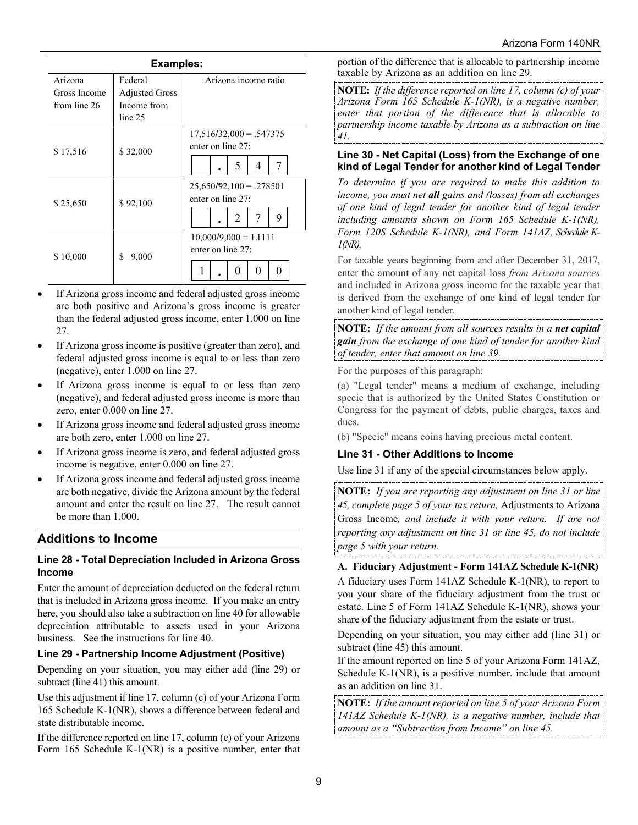| <b>Examples:</b>        |                                  |                                                                                         |  |  |  |
|-------------------------|----------------------------------|-----------------------------------------------------------------------------------------|--|--|--|
| Arizona<br>Gross Income | Federal<br><b>Adjusted Gross</b> | Arizona income ratio                                                                    |  |  |  |
| from line 26            | Income from<br>line 25           |                                                                                         |  |  |  |
| \$17,516                | \$32,000                         | $17,516/32,000 = .547375$<br>enter on line 27:<br>7<br>5<br>4                           |  |  |  |
| \$25,650                | \$92,100                         | $25,650/92,100 = .278501$<br>enter on line 27:<br>7<br>9<br>$\mathcal{D}_{\mathcal{L}}$ |  |  |  |
| \$10,000                | \$<br>9,000                      | $10,000/9,000 = 1.1111$<br>enter on line 27:                                            |  |  |  |

- If Arizona gross income and federal adjusted gross income are both positive and Arizona's gross income is greater than the federal adjusted gross income, enter 1.000 on line 27.
- If Arizona gross income is positive (greater than zero), and federal adjusted gross income is equal to or less than zero (negative), enter 1.000 on line 27.
- If Arizona gross income is equal to or less than zero (negative), and federal adjusted gross income is more than zero, enter 0.000 on line 27.
- If Arizona gross income and federal adjusted gross income are both zero, enter 1.000 on line 27.
- If Arizona gross income is zero, and federal adjusted gross income is negative, enter 0.000 on line 27.
- If Arizona gross income and federal adjusted gross income are both negative, divide the Arizona amount by the federal amount and enter the result on line 27. The result cannot be more than 1.000.

## **Additions to Income**

#### **Line 28 - Total Depreciation Included in Arizona Gross Income**

Enter the amount of depreciation deducted on the federal return that is included in Arizona gross income. If you make an entry here, you should also take a subtraction on line 40 for allowable depreciation attributable to assets used in your Arizona business. See the instructions for line 40.

## **Line 29 - Partnership Income Adjustment (Positive)**

Depending on your situation, you may either add (line 29) or subtract (line 41) this amount.

Use this adjustment if line 17, column (c) of your Arizona Form 165 Schedule K-1(NR), shows a difference between federal and state distributable income.

If the difference reported on line 17, column (c) of your Arizona Form 165 Schedule K-1(NR) is a positive number, enter that portion of the difference that is allocable to partnership income taxable by Arizona as an addition on line 29.

**NOTE:** *If the difference reported on line 17, column (c) of your Arizona Form 165 Schedule K-1(NR), is a negative number, enter that portion of the difference that is allocable to partnership income taxable by Arizona as a subtraction on line 41.*

#### **Line 30 - Net Capital (Loss) from the Exchange of one kind of Legal Tender for another kind of Legal Tender**

*To determine if you are required to make this addition to income, you must net all gains and (losses) from all exchanges of one kind of legal tender for another kind of legal tender including amounts shown on Form 165 Schedule K-1(NR), Form 120S Schedule K-1(NR), and Form 141AZ, Schedule K-1(NR).* 

For taxable years beginning from and after December 31, 2017, enter the amount of any net capital loss *from Arizona sources* and included in Arizona gross income for the taxable year that is derived from the exchange of one kind of legal tender for another kind of legal tender.

**NOTE:** *If the amount from all sources results in a net capital gain from the exchange of one kind of tender for another kind of tender, enter that amount on line 39.*

For the purposes of this paragraph:

(a) "Legal tender" means a medium of exchange, including specie that is authorized by the United States Constitution or Congress for the payment of debts, public charges, taxes and dues.

(b) "Specie" means coins having precious metal content.

## **Line 31 - Other Additions to Income**

Use line 31 if any of the special circumstances below apply.

**NOTE:** *If you are reporting any adjustment on line 31 or line 45, complete page 5 of your tax return,* Adjustments to Arizona Gross Income*, and include it with your return. If are not reporting any adjustment on line 31 or line 45, do not include page 5 with your return.*

## **A. Fiduciary Adjustment - Form 141AZ Schedule K-1(NR)**

A fiduciary uses Form 141AZ Schedule K-1(NR), to report to you your share of the fiduciary adjustment from the trust or estate. Line 5 of Form 141AZ Schedule K-1(NR), shows your share of the fiduciary adjustment from the estate or trust.

Depending on your situation, you may either add (line 31) or subtract (line 45) this amount.

If the amount reported on line 5 of your Arizona Form 141AZ, Schedule K-1(NR), is a positive number, include that amount as an addition on line 31.

**NOTE:** *If the amount reported on line 5 of your Arizona Form 141AZ Schedule K-1(NR), is a negative number, include that amount as a "Subtraction from Income" on line 45.*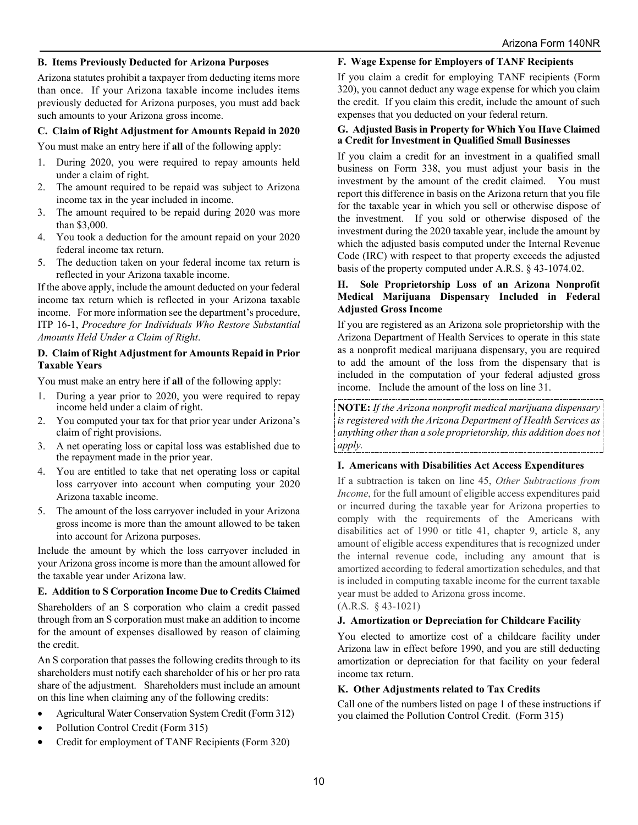#### **B. Items Previously Deducted for Arizona Purposes**

Arizona statutes prohibit a taxpayer from deducting items more than once. If your Arizona taxable income includes items previously deducted for Arizona purposes, you must add back such amounts to your Arizona gross income.

#### **C. Claim of Right Adjustment for Amounts Repaid in 2020**

You must make an entry here if **all** of the following apply:

- 1. During 2020, you were required to repay amounts held under a claim of right.
- 2. The amount required to be repaid was subject to Arizona income tax in the year included in income.
- 3. The amount required to be repaid during 2020 was more than \$3,000.
- 4. You took a deduction for the amount repaid on your 2020 federal income tax return.
- 5. The deduction taken on your federal income tax return is reflected in your Arizona taxable income.

If the above apply, include the amount deducted on your federal income tax return which is reflected in your Arizona taxable income. For more information see the department's procedure, ITP 16-1, *Procedure for Individuals Who Restore Substantial Amounts Held Under a Claim of Right*.

#### **D. Claim of Right Adjustment for Amounts Repaid in Prior Taxable Years**

You must make an entry here if **all** of the following apply:

- 1. During a year prior to 2020, you were required to repay income held under a claim of right.
- 2. You computed your tax for that prior year under Arizona's claim of right provisions.
- 3. A net operating loss or capital loss was established due to the repayment made in the prior year.
- 4. You are entitled to take that net operating loss or capital loss carryover into account when computing your 2020 Arizona taxable income.
- 5. The amount of the loss carryover included in your Arizona gross income is more than the amount allowed to be taken into account for Arizona purposes.

Include the amount by which the loss carryover included in your Arizona gross income is more than the amount allowed for the taxable year under Arizona law.

#### **E. Addition to S Corporation Income Due to Credits Claimed**

Shareholders of an S corporation who claim a credit passed through from an S corporation must make an addition to income for the amount of expenses disallowed by reason of claiming the credit.

An S corporation that passes the following credits through to its shareholders must notify each shareholder of his or her pro rata share of the adjustment. Shareholders must include an amount on this line when claiming any of the following credits:

- Agricultural Water Conservation System Credit (Form 312)
- Pollution Control Credit (Form 315)
- Credit for employment of TANF Recipients (Form 320)

#### **F. Wage Expense for Employers of TANF Recipients**

If you claim a credit for employing TANF recipients (Form 320), you cannot deduct any wage expense for which you claim the credit. If you claim this credit, include the amount of such expenses that you deducted on your federal return.

#### **G. Adjusted Basis in Property for Which You Have Claimed a Credit for Investment in Qualified Small Businesses**

If you claim a credit for an investment in a qualified small business on Form 338, you must adjust your basis in the investment by the amount of the credit claimed. You must report this difference in basis on the Arizona return that you file for the taxable year in which you sell or otherwise dispose of the investment. If you sold or otherwise disposed of the investment during the 2020 taxable year, include the amount by which the adjusted basis computed under the Internal Revenue Code (IRC) with respect to that property exceeds the adjusted basis of the property computed under A.R.S. § 43-1074.02.

### **H. Sole Proprietorship Loss of an Arizona Nonprofit Medical Marijuana Dispensary Included in Federal Adjusted Gross Income**

If you are registered as an Arizona sole proprietorship with the Arizona Department of Health Services to operate in this state as a nonprofit medical marijuana dispensary, you are required to add the amount of the loss from the dispensary that is included in the computation of your federal adjusted gross income. Include the amount of the loss on line 31.

**NOTE:** *If the Arizona nonprofit medical marijuana dispensary is registered with the Arizona Department of Health Services as anything other than a sole proprietorship, this addition does not apply.*

#### **I. Americans with Disabilities Act Access Expenditures**

If a subtraction is taken on line 45, *Other Subtractions from Income*, for the full amount of eligible access expenditures paid or incurred during the taxable year for Arizona properties to comply with the requirements of the Americans with disabilities act of 1990 or title 41, chapter 9, article 8, any amount of eligible access expenditures that is recognized under the internal revenue code, including any amount that is amortized according to federal amortization schedules, and that is included in computing taxable income for the current taxable year must be added to Arizona gross income.

(A.R.S. § 43-1021)

#### **J. Amortization or Depreciation for Childcare Facility**

You elected to amortize cost of a childcare facility under Arizona law in effect before 1990, and you are still deducting amortization or depreciation for that facility on your federal income tax return.

#### **K. Other Adjustments related to Tax Credits**

Call one of the numbers listed on page 1 of these instructions if you claimed the Pollution Control Credit. (Form 315)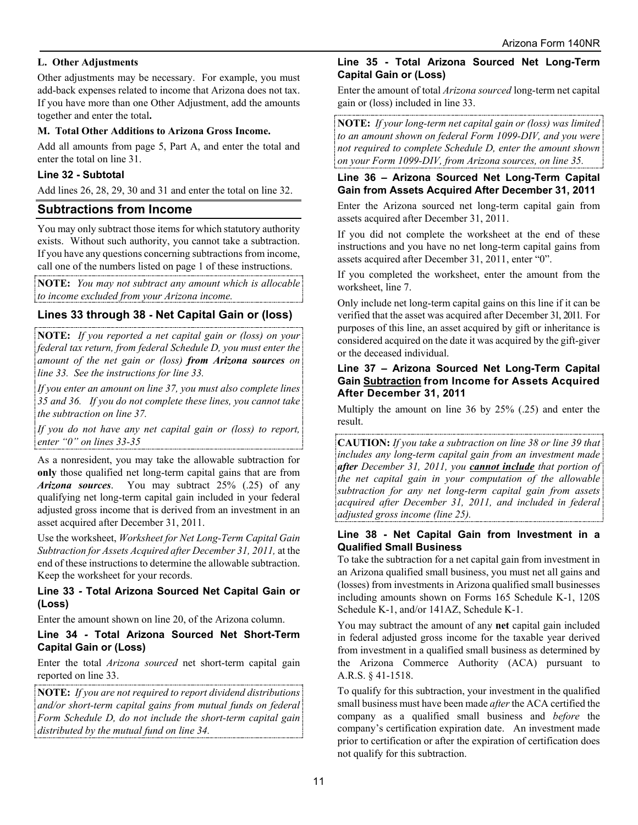#### **L. Other Adjustments**

Other adjustments may be necessary. For example, you must add-back expenses related to income that Arizona does not tax. If you have more than one Other Adjustment, add the amounts together and enter the total**.** 

#### **M. Total Other Additions to Arizona Gross Income.**

Add all amounts from page 5, Part A, and enter the total and enter the total on line 31.

#### **Line 32 - Subtotal**

Add lines 26, 28, 29, 30 and 31 and enter the total on line 32.

## **Subtractions from Income**

You may only subtract those items for which statutory authority exists. Without such authority, you cannot take a subtraction. If you have any questions concerning subtractions from income, call one of the numbers listed on page 1 of these instructions.

**NOTE:** *You may not subtract any amount which is allocable to income excluded from your Arizona income.*

## **Lines 33 through 38 - Net Capital Gain or (loss)**

**NOTE:** *If you reported a net capital gain or (loss) on your federal tax return, from federal Schedule D, you must enter the amount of the net gain or (loss) from Arizona sources on line 33. See the instructions for line 33.*

*If you enter an amount on line 37, you must also complete lines 35 and 36. If you do not complete these lines, you cannot take the subtraction on line 37.*

*If you do not have any net capital gain or (loss) to report, enter "0" on lines 33-35*

As a nonresident, you may take the allowable subtraction for **only** those qualified net long-term capital gains that are from *Arizona sources*. You may subtract 25% (.25) of any qualifying net long-term capital gain included in your federal adjusted gross income that is derived from an investment in an asset acquired after December 31, 2011.

Use the worksheet, *Worksheet for Net Long-Term Capital Gain Subtraction for Assets Acquired after December 31, 2011,* at the end of these instructions to determine the allowable subtraction. Keep the worksheet for your records.

#### **Line 33** *-* **Total Arizona Sourced Net Capital Gain or (Loss)**

Enter the amount shown on line 20, of the Arizona column.

#### **Line 34** *-* **Total Arizona Sourced Net Short-Term Capital Gain or (Loss)**

Enter the total *Arizona sourced* net short-term capital gain reported on line 33.

**NOTE:** *If you are not required to report dividend distributions and/or short-term capital gains from mutual funds on federal Form Schedule D, do not include the short-term capital gain distributed by the mutual fund on line 34.*

## **Line 35 - Total Arizona Sourced Net Long-Term Capital Gain or (Loss)**

Enter the amount of total *Arizona sourced* long-term net capital gain or (loss) included in line 33.

**NOTE:** *If your long-term net capital gain or (loss) was limited to an amount shown on federal Form 1099-DIV, and you were not required to complete Schedule D, enter the amount shown on your Form 1099-DIV, from Arizona sources, on line 35.*

#### **Line 36 – Arizona Sourced Net Long-Term Capital Gain from Assets Acquired After December 31, 2011**

Enter the Arizona sourced net long-term capital gain from assets acquired after December 31, 2011.

If you did not complete the worksheet at the end of these instructions and you have no net long-term capital gains from assets acquired after December 31, 2011, enter "0".

If you completed the worksheet, enter the amount from the worksheet, line 7.

Only include net long-term capital gains on this line if it can be verified that the asset was acquired after December 31, 2011. For purposes of this line, an asset acquired by gift or inheritance is considered acquired on the date it was acquired by the gift-giver or the deceased individual.

#### **Line 37 – Arizona Sourced Net Long-Term Capital Gain Subtraction from Income for Assets Acquired After December 31, 2011**

Multiply the amount on line 36 by 25% (.25) and enter the result.

**CAUTION:** *If you take a subtraction on line 38 or line 39 that includes any long-term capital gain from an investment made after December 31, 2011, you cannot include that portion of the net capital gain in your computation of the allowable subtraction for any net long-term capital gain from assets acquired after December 31, 2011, and included in federal adjusted gross income (line 25).*

#### **Line 38 - Net Capital Gain from Investment in a Qualified Small Business**

To take the subtraction for a net capital gain from investment in an Arizona qualified small business, you must net all gains and (losses) from investments in Arizona qualified small businesses including amounts shown on Forms 165 Schedule K-1, 120S Schedule K-1, and/or 141AZ, Schedule K-1.

You may subtract the amount of any **net** capital gain included in federal adjusted gross income for the taxable year derived from investment in a qualified small business as determined by the Arizona Commerce Authority (ACA) pursuant to A.R.S. § 41-1518.

To qualify for this subtraction, your investment in the qualified small business must have been made *after* the ACA certified the company as a qualified small business and *before* the company's certification expiration date. An investment made prior to certification or after the expiration of certification does not qualify for this subtraction.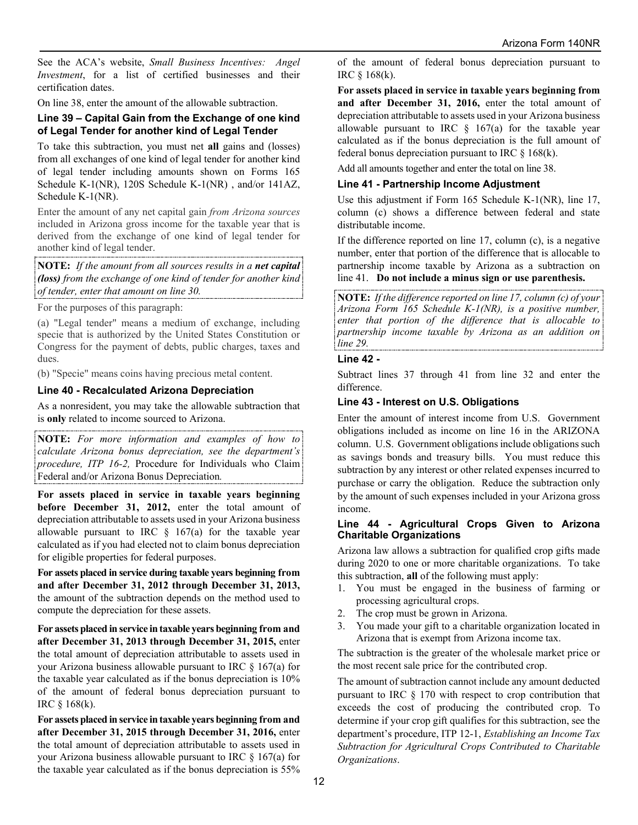See the ACA's website, *Small Business Incentives: Angel Investment*, for a list of certified businesses and their certification dates.

On line 38, enter the amount of the allowable subtraction.

#### **Line 39 – Capital Gain from the Exchange of one kind of Legal Tender for another kind of Legal Tender**

To take this subtraction, you must net **all** gains and (losses) from all exchanges of one kind of legal tender for another kind of legal tender including amounts shown on Forms 165 Schedule K-1(NR), 120S Schedule K-1(NR) , and/or 141AZ, Schedule K-1(NR).

Enter the amount of any net capital gain *from Arizona sources* included in Arizona gross income for the taxable year that is derived from the exchange of one kind of legal tender for another kind of legal tender.

**NOTE:** *If the amount from all sources results in a net capital (loss) from the exchange of one kind of tender for another kind of tender, enter that amount on line 30.* 

For the purposes of this paragraph:

(a) "Legal tender" means a medium of exchange, including specie that is authorized by the United States Constitution or Congress for the payment of debts, public charges, taxes and dues.

(b) "Specie" means coins having precious metal content.

#### **Line 40 - Recalculated Arizona Depreciation**

As a nonresident, you may take the allowable subtraction that is **only** related to income sourced to Arizona.

**NOTE:** *For more information and examples of how to calculate Arizona bonus depreciation, see the department's procedure, ITP 16-2,* Procedure for Individuals who Claim Federal and/or Arizona Bonus Depreciation*.* 

**For assets placed in service in taxable years beginning before December 31, 2012,** enter the total amount of depreciation attributable to assets used in your Arizona business allowable pursuant to IRC  $\S$  167(a) for the taxable year calculated as if you had elected not to claim bonus depreciation for eligible properties for federal purposes.

**For assets placed in service during taxable years beginning from and after December 31, 2012 through December 31, 2013,** the amount of the subtraction depends on the method used to compute the depreciation for these assets.

**For assets placed in service in taxable years beginning from and after December 31, 2013 through December 31, 2015,** enter the total amount of depreciation attributable to assets used in your Arizona business allowable pursuant to IRC § 167(a) for the taxable year calculated as if the bonus depreciation is 10% of the amount of federal bonus depreciation pursuant to IRC § 168(k).

**For assets placed in service in taxable years beginning from and after December 31, 2015 through December 31, 2016,** enter the total amount of depreciation attributable to assets used in your Arizona business allowable pursuant to IRC § 167(a) for the taxable year calculated as if the bonus depreciation is 55% of the amount of federal bonus depreciation pursuant to IRC § 168(k).

**For assets placed in service in taxable years beginning from and after December 31, 2016,** enter the total amount of depreciation attributable to assets used in your Arizona business allowable pursuant to IRC  $\frac{167}{a}$  for the taxable year calculated as if the bonus depreciation is the full amount of federal bonus depreciation pursuant to IRC  $\S$  168(k).

Add all amounts together and enter the total on line 38.

### **Line 41 - Partnership Income Adjustment**

Use this adjustment if Form 165 Schedule K-1(NR), line 17, column (c) shows a difference between federal and state distributable income.

If the difference reported on line 17, column (c), is a negative number, enter that portion of the difference that is allocable to partnership income taxable by Arizona as a subtraction on line 41. **Do not include a minus sign or use parenthesis.**

**NOTE:** *If the difference reported on line 17, column (c) of your Arizona Form 165 Schedule K-1(NR), is a positive number, enter that portion of the difference that is allocable to partnership income taxable by Arizona as an addition on line 29.*

#### **Line 42 -**

Subtract lines 37 through 41 from line 32 and enter the difference.

#### **Line 43 - Interest on U.S. Obligations**

Enter the amount of interest income from U.S. Government obligations included as income on line 16 in the ARIZONA column. U.S. Government obligations include obligations such as savings bonds and treasury bills. You must reduce this subtraction by any interest or other related expenses incurred to purchase or carry the obligation. Reduce the subtraction only by the amount of such expenses included in your Arizona gross income.

#### **Line 44 - Agricultural Crops Given to Arizona Charitable Organizations**

Arizona law allows a subtraction for qualified crop gifts made during 2020 to one or more charitable organizations. To take this subtraction, **all** of the following must apply:

- 1. You must be engaged in the business of farming or processing agricultural crops.
- 2. The crop must be grown in Arizona.
- 3. You made your gift to a charitable organization located in Arizona that is exempt from Arizona income tax.

The subtraction is the greater of the wholesale market price or the most recent sale price for the contributed crop.

The amount of subtraction cannot include any amount deducted pursuant to IRC § 170 with respect to crop contribution that exceeds the cost of producing the contributed crop. To determine if your crop gift qualifies for this subtraction, see the department's procedure, ITP 12-1, *Establishing an Income Tax Subtraction for Agricultural Crops Contributed to Charitable Organizations*.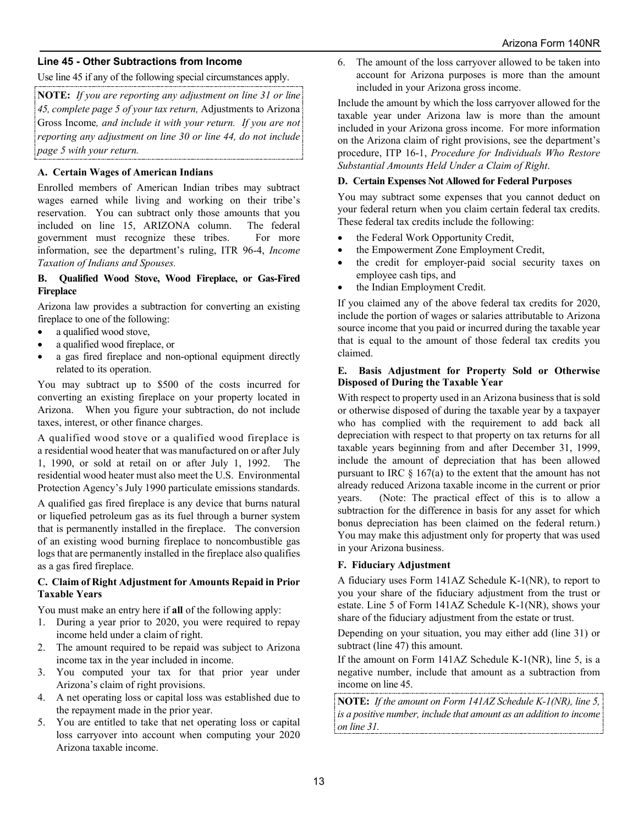#### **Line 45 - Other Subtractions from Income**

Use line 45 if any of the following special circumstances apply.

**NOTE:** *If you are reporting any adjustment on line 31 or line 45, complete page 5 of your tax return,* Adjustments to Arizona Gross Income*, and include it with your return. If you are not reporting any adjustment on line 30 or line 44, do not include page 5 with your return.*

#### **A. Certain Wages of American Indians**

Enrolled members of American Indian tribes may subtract wages earned while living and working on their tribe's reservation. You can subtract only those amounts that you included on line 15, ARIZONA column. The federal government must recognize these tribes. For more information, see the department's ruling, ITR 96-4, *Income Taxation of Indians and Spouses.*

#### **B. Qualified Wood Stove, Wood Fireplace, or Gas-Fired Fireplace**

Arizona law provides a subtraction for converting an existing fireplace to one of the following:

- a qualified wood stove,
- a qualified wood fireplace, or
- a gas fired fireplace and non-optional equipment directly related to its operation.

You may subtract up to \$500 of the costs incurred for converting an existing fireplace on your property located in Arizona. When you figure your subtraction, do not include taxes, interest, or other finance charges.

A qualified wood stove or a qualified wood fireplace is a residential wood heater that was manufactured on or after July 1, 1990, or sold at retail on or after July 1, 1992. The residential wood heater must also meet the U.S. Environmental Protection Agency's July 1990 particulate emissions standards.

A qualified gas fired fireplace is any device that burns natural or liquefied petroleum gas as its fuel through a burner system that is permanently installed in the fireplace. The conversion of an existing wood burning fireplace to noncombustible gas logs that are permanently installed in the fireplace also qualifies as a gas fired fireplace.

#### **C. Claim of Right Adjustment for Amounts Repaid in Prior Taxable Years**

You must make an entry here if **all** of the following apply:

- 1. During a year prior to 2020, you were required to repay income held under a claim of right.
- 2. The amount required to be repaid was subject to Arizona income tax in the year included in income.
- 3. You computed your tax for that prior year under Arizona's claim of right provisions.
- 4. A net operating loss or capital loss was established due to the repayment made in the prior year.
- 5. You are entitled to take that net operating loss or capital loss carryover into account when computing your 2020 Arizona taxable income.

6. The amount of the loss carryover allowed to be taken into account for Arizona purposes is more than the amount included in your Arizona gross income.

Include the amount by which the loss carryover allowed for the taxable year under Arizona law is more than the amount included in your Arizona gross income. For more information on the Arizona claim of right provisions, see the department's procedure, ITP 16-1, *Procedure for Individuals Who Restore Substantial Amounts Held Under a Claim of Right*.

#### **D. Certain Expenses Not Allowed for Federal Purposes**

You may subtract some expenses that you cannot deduct on your federal return when you claim certain federal tax credits. These federal tax credits include the following:

- the Federal Work Opportunity Credit,
- the Empowerment Zone Employment Credit,
- the credit for employer-paid social security taxes on employee cash tips, and
- the Indian Employment Credit.

If you claimed any of the above federal tax credits for 2020, include the portion of wages or salaries attributable to Arizona source income that you paid or incurred during the taxable year that is equal to the amount of those federal tax credits you claimed.

#### **E. Basis Adjustment for Property Sold or Otherwise Disposed of During the Taxable Year**

With respect to property used in an Arizona business that is sold or otherwise disposed of during the taxable year by a taxpayer who has complied with the requirement to add back all depreciation with respect to that property on tax returns for all taxable years beginning from and after December 31, 1999, include the amount of depreciation that has been allowed pursuant to IRC  $\S 167(a)$  to the extent that the amount has not already reduced Arizona taxable income in the current or prior years. (Note: The practical effect of this is to allow a subtraction for the difference in basis for any asset for which bonus depreciation has been claimed on the federal return.) You may make this adjustment only for property that was used in your Arizona business.

#### **F. Fiduciary Adjustment**

A fiduciary uses Form 141AZ Schedule K-1(NR), to report to you your share of the fiduciary adjustment from the trust or estate. Line 5 of Form 141AZ Schedule K-1(NR), shows your share of the fiduciary adjustment from the estate or trust.

Depending on your situation, you may either add (line 31) or subtract (line 47) this amount.

If the amount on Form 141AZ Schedule K-1(NR), line 5, is a negative number, include that amount as a subtraction from income on line 45.

**NOTE:** *If the amount on Form 141AZ Schedule K-1(NR), line 5, is a positive number, include that amount as an addition to income on line 31.*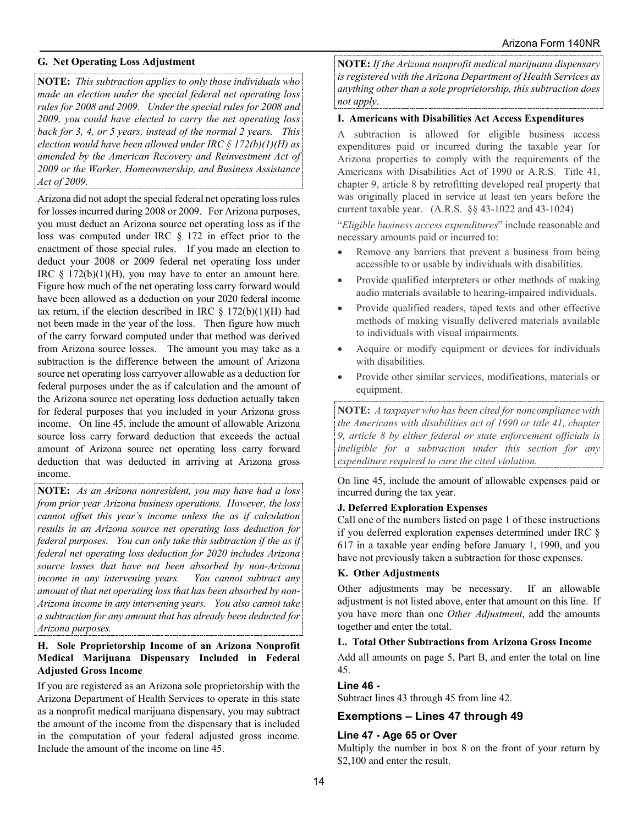#### **G. Net Operating Loss Adjustment**

**NOTE:** *This subtraction applies to only those individuals who made an election under the special federal net operating loss rules for 2008 and 2009. Under the special rules for 2008 and 2009, you could have elected to carry the net operating loss back for 3, 4, or 5 years, instead of the normal 2 years. This election would have been allowed under IRC § 172(b)(1)(H) as amended by the American Recovery and Reinvestment Act of 2009 or the Worker, Homeownership, and Business Assistance Act of 2009.*

Arizona did not adopt the special federal net operating loss rules for losses incurred during 2008 or 2009. For Arizona purposes, you must deduct an Arizona source net operating loss as if the loss was computed under IRC § 172 in effect prior to the enactment of those special rules. If you made an election to deduct your 2008 or 2009 federal net operating loss under IRC  $§$  172(b)(1)(H), you may have to enter an amount here. Figure how much of the net operating loss carry forward would have been allowed as a deduction on your 2020 federal income tax return, if the election described in IRC  $\S$  172(b)(1)(H) had not been made in the year of the loss. Then figure how much of the carry forward computed under that method was derived from Arizona source losses. The amount you may take as a subtraction is the difference between the amount of Arizona source net operating loss carryover allowable as a deduction for federal purposes under the as if calculation and the amount of the Arizona source net operating loss deduction actually taken for federal purposes that you included in your Arizona gross income. On line 45, include the amount of allowable Arizona source loss carry forward deduction that exceeds the actual amount of Arizona source net operating loss carry forward deduction that was deducted in arriving at Arizona gross income.

**NOTE:** *As an Arizona nonresident, you may have had a loss from prior year Arizona business operations. However, the loss cannot offset this year's income unless the as if calculation results in an Arizona source net operating loss deduction for federal purposes. You can only take this subtraction if the as if federal net operating loss deduction for 2020 includes Arizona source losses that have not been absorbed by non-Arizona income in any intervening years. You cannot subtract any amount of that net operating loss that has been absorbed by non-Arizona income in any intervening years. You also cannot take a subtraction for any amount that has already been deducted for Arizona purposes.* 

#### **H. Sole Proprietorship Income of an Arizona Nonprofit Medical Marijuana Dispensary Included in Federal Adjusted Gross Income**

If you are registered as an Arizona sole proprietorship with the Arizona Department of Health Services to operate in this state as a nonprofit medical marijuana dispensary, you may subtract the amount of the income from the dispensary that is included in the computation of your federal adjusted gross income. Include the amount of the income on line 45.

**NOTE:** *If the Arizona nonprofit medical marijuana dispensary is registered with the Arizona Department of Health Services as anything other than a sole proprietorship, this subtraction does not apply.*

#### **I. Americans with Disabilities Act Access Expenditures**

A subtraction is allowed for eligible business access expenditures paid or incurred during the taxable year for Arizona properties to comply with the requirements of the Americans with Disabilities Act of 1990 or A.R.S. Title 41, chapter 9, article 8 by retrofitting developed real property that was originally placed in service at least ten years before the current taxable year. (A.R.S. §§ 43-1022 and 43-1024)

"*Eligible business access expenditures*" include reasonable and necessary amounts paid or incurred to:

- Remove any barriers that prevent a business from being accessible to or usable by individuals with disabilities.
- Provide qualified interpreters or other methods of making audio materials available to hearing-impaired individuals.
- Provide qualified readers, taped texts and other effective methods of making visually delivered materials available to individuals with visual impairments.
- Acquire or modify equipment or devices for individuals with disabilities.
- Provide other similar services, modifications, materials or equipment.

**NOTE:** *A taxpayer who has been cited for noncompliance with the Americans with disabilities act of 1990 or title 41, chapter 9, article 8 by either federal or state enforcement officials is ineligible for a subtraction under this section for any expenditure required to cure the cited violation.* 

On line 45, include the amount of allowable expenses paid or incurred during the tax year.

## **J. Deferred Exploration Expenses**

Call one of the numbers listed on page 1 of these instructions if you deferred exploration expenses determined under IRC § 617 in a taxable year ending before January 1, 1990, and you have not previously taken a subtraction for those expenses.

## **K. Other Adjustments**

Other adjustments may be necessary. If an allowable adjustment is not listed above, enter that amount on this line. If you have more than one *Other Adjustment*, add the amounts together and enter the total.

#### **L. Total Other Subtractions from Arizona Gross Income**

Add all amounts on page 5, Part B, and enter the total on line 45.

#### **Line 46 -**

Subtract lines 43 through 45 from line 42.

## **Exemptions – Lines 47 through 49**

## **Line 47 - Age 65 or Over**

Multiply the number in box 8 on the front of your return by \$2,100 and enter the result.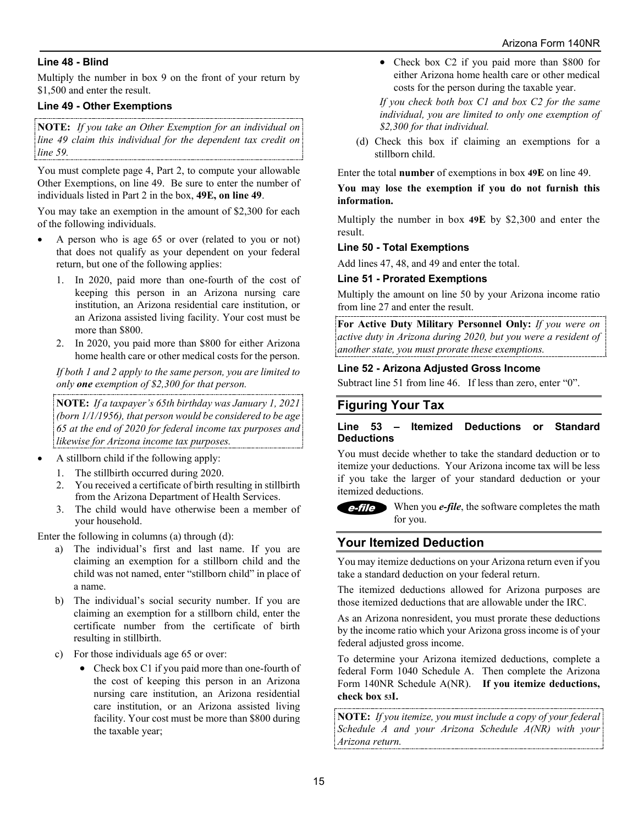### **Line 48 - Blind**

Multiply the number in box 9 on the front of your return by \$1,500 and enter the result.

#### **Line 49 - Other Exemptions**

**NOTE:** *If you take an Other Exemption for an individual on line 49 claim this individual for the dependent tax credit on line 59.* 

You must complete page 4, Part 2, to compute your allowable Other Exemptions, on line 49. Be sure to enter the number of individuals listed in Part 2 in the box, **49E, on line 49**.

You may take an exemption in the amount of \$2,300 for each of the following individuals.

- A person who is age 65 or over (related to you or not) that does not qualify as your dependent on your federal return, but one of the following applies:
	- 1. In 2020, paid more than one-fourth of the cost of keeping this person in an Arizona nursing care institution, an Arizona residential care institution, or an Arizona assisted living facility. Your cost must be more than \$800.
	- 2. In 2020, you paid more than \$800 for either Arizona home health care or other medical costs for the person.

*If both 1 and 2 apply to the same person, you are limited to only one exemption of \$2,300 for that person.*

**NOTE:** *If a taxpayer's 65th birthday was January 1, 2021 (born 1/1/1956), that person would be considered to be age 65 at the end of 2020 for federal income tax purposes and likewise for Arizona income tax purposes.*

- A stillborn child if the following apply:
	- 1. The stillbirth occurred during 2020.
	- 2. You received a certificate of birth resulting in stillbirth from the Arizona Department of Health Services.
	- 3. The child would have otherwise been a member of your household.

Enter the following in columns (a) through (d):

- a) The individual's first and last name. If you are claiming an exemption for a stillborn child and the child was not named, enter "stillborn child" in place of a name.
- b) The individual's social security number. If you are claiming an exemption for a stillborn child, enter the certificate number from the certificate of birth resulting in stillbirth.
- c) For those individuals age 65 or over:
	- Check box C1 if you paid more than one-fourth of the cost of keeping this person in an Arizona nursing care institution, an Arizona residential care institution, or an Arizona assisted living facility. Your cost must be more than \$800 during the taxable year;

• Check box C2 if you paid more than \$800 for either Arizona home health care or other medical costs for the person during the taxable year.

*If you check both box C1 and box C2 for the same individual, you are limited to only one exemption of \$2,300 for that individual.*

(d) Check this box if claiming an exemptions for a stillborn child.

Enter the total **number** of exemptions in box **49E** on line 49.

**You may lose the exemption if you do not furnish this information.** 

Multiply the number in box **49E** by \$2,300 and enter the result.

#### **Line 50 - Total Exemptions**

Add lines 47, 48, and 49 and enter the total.

#### **Line 51 - Prorated Exemptions**

Multiply the amount on line 50 by your Arizona income ratio from line 27 and enter the result.

**For Active Duty Military Personnel Only:** *If you were on active duty in Arizona during 2020, but you were a resident of another state, you must prorate these exemptions.*

#### **Line 52 - Arizona Adjusted Gross Income**

Subtract line 51 from line 46. If less than zero, enter "0".

## **Figuring Your Tax**

#### **Line 53 – Itemized Deductions or Standard Deductions**

You must decide whether to take the standard deduction or to itemize your deductions. Your Arizona income tax will be less if you take the larger of your standard deduction or your itemized deductions.

When you *e-file*, the software completes the math e-file for you.

## **Your Itemized Deduction**

You may itemize deductions on your Arizona return even if you take a standard deduction on your federal return.

The itemized deductions allowed for Arizona purposes are those itemized deductions that are allowable under the IRC.

As an Arizona nonresident, you must prorate these deductions by the income ratio which your Arizona gross income is of your federal adjusted gross income.

To determine your Arizona itemized deductions, complete a federal Form 1040 Schedule A. Then complete the Arizona Form 140NR Schedule A(NR). **If you itemize deductions, check box 53I.**

**NOTE:** *If you itemize, you must include a copy of your federal Schedule A and your Arizona Schedule A(NR) with your Arizona return.*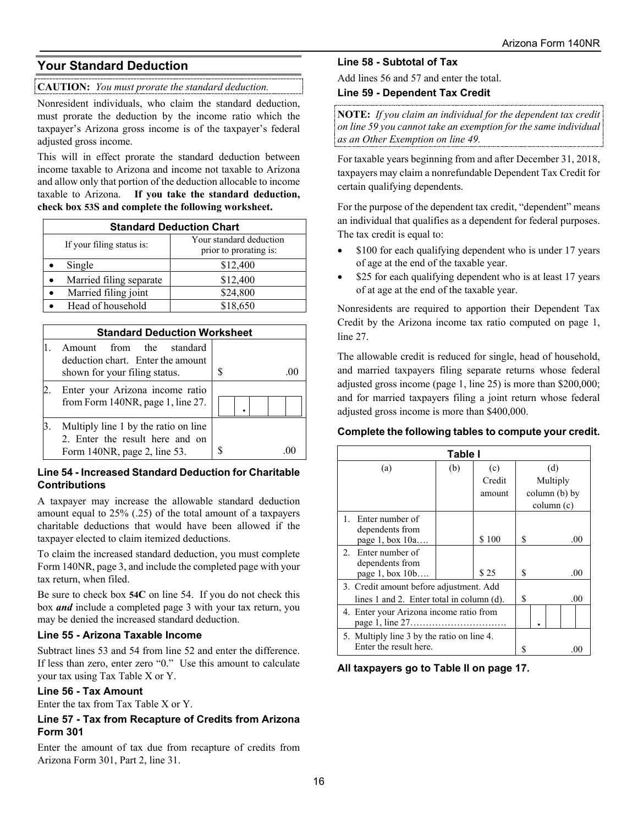## **Your Standard Deduction**

### **CAUTION:** *You must prorate the standard deduction.*

Nonresident individuals, who claim the standard deduction, must prorate the deduction by the income ratio which the taxpayer's Arizona gross income is of the taxpayer's federal adjusted gross income.

This will in effect prorate the standard deduction between income taxable to Arizona and income not taxable to Arizona and allow only that portion of the deduction allocable to income taxable to Arizona. **If you take the standard deduction, check box 53S and complete the following worksheet.**

| <b>Standard Deduction Chart</b> |                         |                                                   |  |  |
|---------------------------------|-------------------------|---------------------------------------------------|--|--|
| If your filing status is:       |                         | Your standard deduction<br>prior to prorating is: |  |  |
|                                 | Single                  | \$12,400                                          |  |  |
|                                 | Married filing separate | \$12,400                                          |  |  |
|                                 | Married filing joint    | \$24,800                                          |  |  |
|                                 | Head of household       | \$18,650                                          |  |  |

| <b>Standard Deduction Worksheet</b>                                                                     |   |  |  |  |
|---------------------------------------------------------------------------------------------------------|---|--|--|--|
| Amount from the standard<br>deduction chart. Enter the amount<br>shown for your filing status.          | S |  |  |  |
| Enter your Arizona income ratio<br>from Form 140NR, page 1, line 27.                                    |   |  |  |  |
| Multiply line 1 by the ratio on line<br>2. Enter the result here and on<br>Form 140NR, page 2, line 53. |   |  |  |  |

## **Line 54 - Increased Standard Deduction for Charitable Contributions**

A taxpayer may increase the allowable standard deduction amount equal to 25% (.25) of the total amount of a taxpayers charitable deductions that would have been allowed if the taxpayer elected to claim itemized deductions.

To claim the increased standard deduction, you must complete Form 140NR, page 3, and include the completed page with your tax return, when filed.

Be sure to check box **54C** on line 54. If you do not check this box *and* include a completed page 3 with your tax return, you may be denied the increased standard deduction.

## **Line 55 - Arizona Taxable Income**

Subtract lines 53 and 54 from line 52 and enter the difference. If less than zero, enter zero "0." Use this amount to calculate your tax using Tax Table X or Y.

## **Line 56 - Tax Amount**

Enter the tax from Tax Table X or Y.

#### **Line 57 - Tax from Recapture of Credits from Arizona Form 301**

Enter the amount of tax due from recapture of credits from Arizona Form 301, Part 2, line 31.

### **Line 58 - Subtotal of Tax**

Add lines 56 and 57 and enter the total.

### **Line 59 - Dependent Tax Credit**

**NOTE:** *If you claim an individual for the dependent tax credit on line 59 you cannot take an exemption for the same individual as an Other Exemption on line 49.*

For taxable years beginning from and after December 31, 2018, taxpayers may claim a nonrefundable Dependent Tax Credit for certain qualifying dependents.

For the purpose of the dependent tax credit, "dependent" means an individual that qualifies as a dependent for federal purposes. The tax credit is equal to:

- \$100 for each qualifying dependent who is under 17 years of age at the end of the taxable year.
- \$25 for each qualifying dependent who is at least 17 years of at age at the end of the taxable year.

Nonresidents are required to apportion their Dependent Tax Credit by the Arizona income tax ratio computed on page 1, line 27.

The allowable credit is reduced for single, head of household, and married taxpayers filing separate returns whose federal adjusted gross income (page 1, line 25) is more than \$200,000; and for married taxpayers filing a joint return whose federal adjusted gross income is more than \$400,000.

#### **Complete the following tables to compute your credit.**

| <b>Table I</b>                                                       |     |        |    |  |          |               |     |
|----------------------------------------------------------------------|-----|--------|----|--|----------|---------------|-----|
| (a)                                                                  | (b) | (c)    |    |  | (d)      |               |     |
|                                                                      |     | Credit |    |  | Multiply |               |     |
|                                                                      |     | amount |    |  |          | column (b) by |     |
|                                                                      |     |        |    |  |          | column (c)    |     |
| Enter number of<br>$1_{-}$<br>dependents from<br>page 1, box 10a     |     | \$100  | \$ |  |          |               | .00 |
| 2. Enter number of<br>dependents from<br>page 1, box 10b             |     | \$25   | S  |  |          |               | .00 |
| 3. Credit amount before adjustment. Add                              |     |        |    |  |          |               |     |
| lines 1 and 2. Enter total in column (d).                            |     |        | \$ |  |          |               | .00 |
| 4. Enter your Arizona income ratio from                              |     |        |    |  |          |               |     |
| 5. Multiply line 3 by the ratio on line 4.<br>Enter the result here. |     |        |    |  | .00      |               |     |

**All taxpayers go to Table II on page 17.**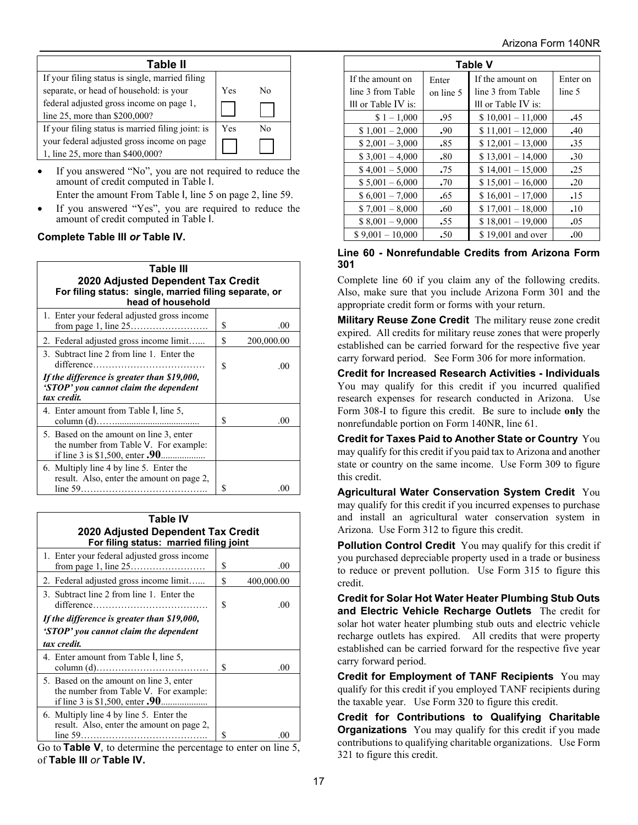| <b>Table II</b>                                   |     |    |
|---------------------------------------------------|-----|----|
| If your filing status is single, married filing   |     |    |
| separate, or head of household: is your           | Yes | N٥ |
| federal adjusted gross income on page 1,          |     |    |
| line 25, more than \$200,000?                     |     |    |
| If your filing status is married filing joint: is | Yes | Nο |
| your federal adjusted gross income on page        |     |    |
| 1, line 25, more than \$400,000?                  |     |    |

If you answered "No", you are not required to reduce the amount of credit computed in Table I.

Enter the amount From Table I, line 5 on page 2, line 59.

If you answered "Yes", you are required to reduce the amount of credit computed in Table I.

## **Complete Table III** *or* **Table IV.**

| Table III<br>2020 Adjusted Dependent Tax Credit<br>For filing status: single, married filing separate, or<br>head of household                   |    |            |  |
|--------------------------------------------------------------------------------------------------------------------------------------------------|----|------------|--|
| 1. Enter your federal adjusted gross income                                                                                                      | S  | .00        |  |
| 2. Federal adjusted gross income limit                                                                                                           | \$ | 200,000.00 |  |
| 3. Subtract line 2 from line 1. Enter the<br>If the difference is greater than \$19,000,<br>'STOP' you cannot claim the dependent<br>tax credit. | S  | .00        |  |
| 4. Enter amount from Table I, line 5,                                                                                                            | S  | .00        |  |
| 5. Based on the amount on line 3, enter<br>the number from Table V. For example:                                                                 |    |            |  |
| 6. Multiply line 4 by line 5. Enter the<br>result. Also, enter the amount on page 2,                                                             | S  | $\Omega$   |  |

| <b>Table IV</b><br>2020 Adjusted Dependent Tax Credit<br>For filing status: married filing joint                                                                                                                    |    |            |  |
|---------------------------------------------------------------------------------------------------------------------------------------------------------------------------------------------------------------------|----|------------|--|
| 1. Enter your federal adjusted gross income                                                                                                                                                                         | S  | .00        |  |
| 2. Federal adjusted gross income limit                                                                                                                                                                              | S  | 400,000.00 |  |
| 3. Subtract line 2 from line 1. Enter the<br>$difference \dots \dots \dots \dots \dots \dots \dots \dots \dots \dots \dots$<br>If the difference is greater than \$19,000,<br>'STOP' you cannot claim the dependent | \$ | .00        |  |
| tax credit.                                                                                                                                                                                                         |    |            |  |
| 4. Enter amount from Table I, line 5,<br>$\text{column (d)}.\dots \dots \dots \dots \dots \dots \dots \dots \dots \dots \dots$                                                                                      | S  | .00        |  |
| 5. Based on the amount on line 3, enter<br>the number from Table V. For example:                                                                                                                                    |    |            |  |
| 6. Multiply line 4 by line 5. Enter the<br>result. Also, enter the amount on page 2,                                                                                                                                |    |            |  |

 line 59………………………………….. \$ .00 Go to **Table V**, to determine the percentage to enter on line 5, of **Table III** *or* **Table IV.**

| <b>Table V</b>      |           |                       |          |  |
|---------------------|-----------|-----------------------|----------|--|
| If the amount on    | Enter     | If the amount on      | Enter on |  |
| line 3 from Table   | on line 5 | line 3 from Table     | line 5   |  |
| III or Table IV is: |           | $III$ or Table IV is: |          |  |
| $$1 - 1,000$        | .95       | $$10,001 - 11,000$    | .45      |  |
| $$1,001 - 2,000$    | .90       | $$11,001 - 12,000$    | .40      |  |
| $$2,001 - 3,000$    | .85       | $$12,001 - 13,000$    | .35      |  |
| $$3,001 - 4,000$    | .80       | $$13,001 - 14,000$    | .30      |  |
| $$4,001 - 5,000$    | .75       | $$14,001 - 15,000$    | .25      |  |
| $$5,001 - 6,000$    | .70       | $$15,001 - 16,000$    | .20      |  |
| $$6,001 - 7,000$    | .65       | $$16,001 - 17,000$    | .15      |  |
| $$7,001 - 8,000$    | .60       | $$17,001 - 18,000$    | .10      |  |
| $$8,001 - 9,000$    | .55       | $$18,001 - 19,000$    | .05      |  |
| $$9,001 - 10,000$   | .50       | \$19,001 and over     | .00      |  |

#### **Line 60 - Nonrefundable Credits from Arizona Form 301**

Complete line 60 if you claim any of the following credits. Also, make sure that you include Arizona Form 301 and the appropriate credit form or forms with your return.

**Military Reuse Zone Credit** The military reuse zone credit expired. All credits for military reuse zones that were properly established can be carried forward for the respective five year carry forward period. See Form 306 for more information.

**Credit for Increased Research Activities - Individuals**  You may qualify for this credit if you incurred qualified research expenses for research conducted in Arizona. Use Form 308-I to figure this credit. Be sure to include **only** the nonrefundable portion on Form 140NR, line 61.

**Credit for Taxes Paid to Another State or Country** You may qualify for this credit if you paid tax to Arizona and another state or country on the same income. Use Form 309 to figure this credit.

**Agricultural Water Conservation System Credit** You may qualify for this credit if you incurred expenses to purchase and install an agricultural water conservation system in Arizona. Use Form 312 to figure this credit.

**Pollution Control Credit** You may qualify for this credit if you purchased depreciable property used in a trade or business to reduce or prevent pollution. Use Form 315 to figure this credit.

**Credit for Solar Hot Water Heater Plumbing Stub Outs and Electric Vehicle Recharge Outlets** The credit for solar hot water heater plumbing stub outs and electric vehicle recharge outlets has expired. All credits that were property established can be carried forward for the respective five year carry forward period.

**Credit for Employment of TANF Recipients** You may qualify for this credit if you employed TANF recipients during the taxable year. Use Form 320 to figure this credit.

**Credit for Contributions to Qualifying Charitable Organizations** You may qualify for this credit if you made contributions to qualifying charitable organizations. Use Form 321 to figure this credit.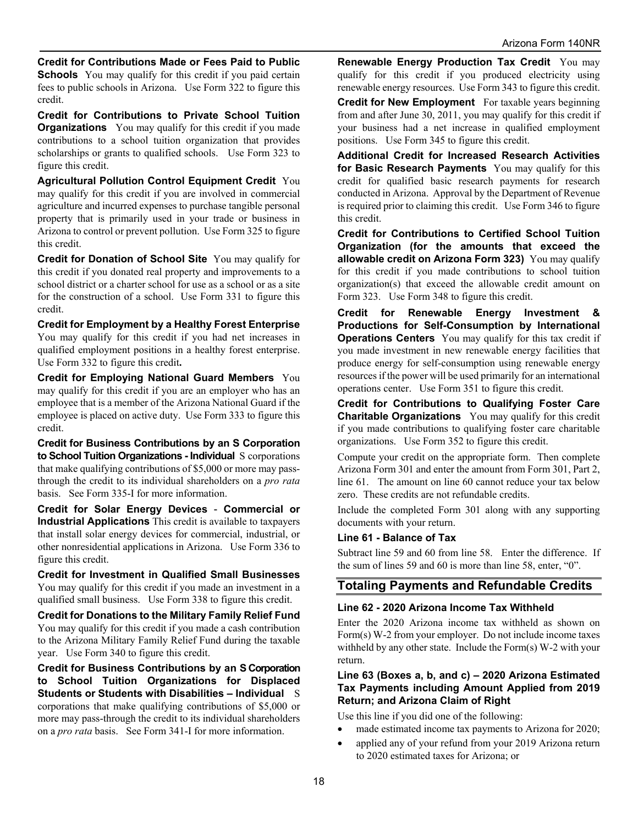**Credit for Contributions Made or Fees Paid to Public Schools** You may qualify for this credit if you paid certain fees to public schools in Arizona. Use Form 322 to figure this credit.

**Credit for Contributions to Private School Tuition Organizations** You may qualify for this credit if you made contributions to a school tuition organization that provides scholarships or grants to qualified schools. Use Form 323 to figure this credit.

**Agricultural Pollution Control Equipment Credit** You may qualify for this credit if you are involved in commercial agriculture and incurred expenses to purchase tangible personal property that is primarily used in your trade or business in Arizona to control or prevent pollution. Use Form 325 to figure this credit.

**Credit for Donation of School Site** You may qualify for this credit if you donated real property and improvements to a school district or a charter school for use as a school or as a site for the construction of a school. Use Form 331 to figure this credit.

**Credit for Employment by a Healthy Forest Enterprise**  You may qualify for this credit if you had net increases in qualified employment positions in a healthy forest enterprise. Use Form 332 to figure this credit**.**

**Credit for Employing National Guard Members** You may qualify for this credit if you are an employer who has an employee that is a member of the Arizona National Guard if the employee is placed on active duty. Use Form 333 to figure this credit.

**Credit for Business Contributions by an S Corporation to School Tuition Organizations - Individual** S corporations that make qualifying contributions of \$5,000 or more may passthrough the credit to its individual shareholders on a *pro rata* basis. See Form 335-I for more information.

**Credit for Solar Energy Devices** - **Commercial or Industrial Applications** This credit is available to taxpayers that install solar energy devices for commercial, industrial, or other nonresidential applications in Arizona. Use Form 336 to figure this credit.

**Credit for Investment in Qualified Small Businesses**  You may qualify for this credit if you made an investment in a qualified small business. Use Form 338 to figure this credit.

**Credit for Donations to the Military Family Relief Fund** You may qualify for this credit if you made a cash contribution to the Arizona Military Family Relief Fund during the taxable year. Use Form 340 to figure this credit.

**Credit for Business Contributions by an S Corporation to School Tuition Organizations for Displaced Students or Students with Disabilities – Individual** S corporations that make qualifying contributions of \$5,000 or more may pass-through the credit to its individual shareholders on a *pro rata* basis. See Form 341-I for more information.

**Renewable Energy Production Tax Credit** You may qualify for this credit if you produced electricity using renewable energy resources. Use Form 343 to figure this credit.

**Credit for New Employment** For taxable years beginning from and after June 30, 2011, you may qualify for this credit if your business had a net increase in qualified employment positions. Use Form 345 to figure this credit.

**Additional Credit for Increased Research Activities for Basic Research Payments** You may qualify for this credit for qualified basic research payments for research conducted in Arizona. Approval by the Department of Revenue is required prior to claiming this credit. Use Form 346 to figure this credit.

**Credit for Contributions to Certified School Tuition Organization (for the amounts that exceed the allowable credit on Arizona Form 323)** You may qualify for this credit if you made contributions to school tuition organization(s) that exceed the allowable credit amount on Form 323. Use Form 348 to figure this credit.

**Credit for Renewable Energy Investment & Productions for Self-Consumption by International Operations Centers** You may qualify for this tax credit if you made investment in new renewable energy facilities that produce energy for self-consumption using renewable energy resources if the power will be used primarily for an international operations center. Use Form 351 to figure this credit.

**Credit for Contributions to Qualifying Foster Care Charitable Organizations** You may qualify for this credit if you made contributions to qualifying foster care charitable organizations. Use Form 352 to figure this credit.

Compute your credit on the appropriate form. Then complete Arizona Form 301 and enter the amount from Form 301, Part 2, line 61. The amount on line 60 cannot reduce your tax below zero. These credits are not refundable credits.

Include the completed Form 301 along with any supporting documents with your return.

## **Line 61 - Balance of Tax**

Subtract line 59 and 60 from line 58. Enter the difference. If the sum of lines 59 and 60 is more than line 58, enter, "0".

## **Totaling Payments and Refundable Credits**

## **Line 62 - 2020 Arizona Income Tax Withheld**

Enter the 2020 Arizona income tax withheld as shown on Form(s) W-2 from your employer. Do not include income taxes withheld by any other state. Include the Form(s) W-2 with your return.

## **Line 63 (Boxes a, b, and c) – 2020 Arizona Estimated Tax Payments including Amount Applied from 2019 Return; and Arizona Claim of Right**

Use this line if you did one of the following:

- made estimated income tax payments to Arizona for 2020;
- applied any of your refund from your 2019 Arizona return to 2020 estimated taxes for Arizona; or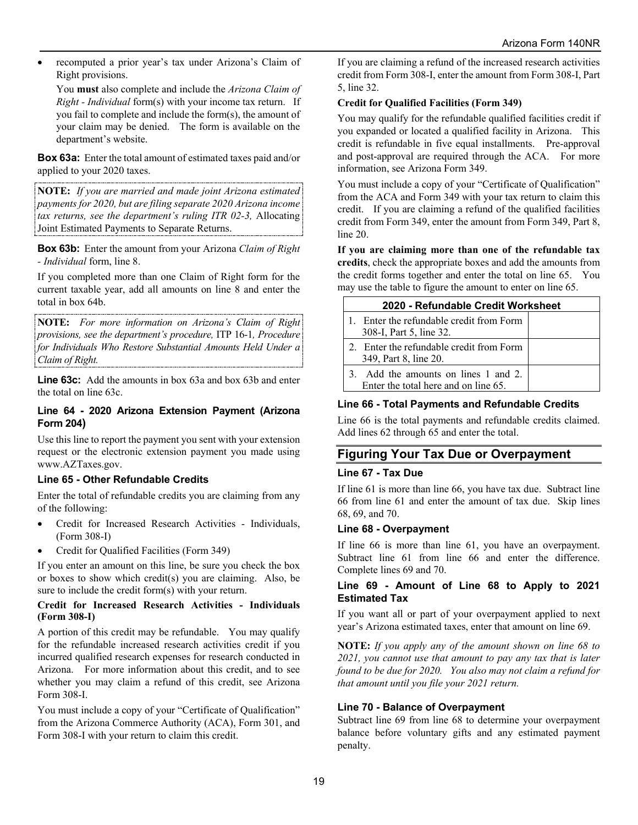• recomputed a prior year's tax under Arizona's Claim of Right provisions.

You **must** also complete and include the *Arizona Claim of Right - Individual* form(s) with your income tax return. If you fail to complete and include the form(s), the amount of your claim may be denied. The form is available on the department's website.

**Box 63a:** Enter the total amount of estimated taxes paid and/or applied to your 2020 taxes.

**NOTE:** *If you are married and made joint Arizona estimated payments for 2020, but are filing separate 2020 Arizona income tax returns, see the department's ruling ITR 02-3,* Allocating Joint Estimated Payments to Separate Returns.

**Box 63b:** Enter the amount from your Arizona *Claim of Right - Individual* form, line 8.

If you completed more than one Claim of Right form for the current taxable year, add all amounts on line 8 and enter the total in box 64b.

**NOTE:** *For more information on Arizona's Claim of Right provisions, see the department's procedure,* ITP 16-1*, Procedure for Individuals Who Restore Substantial Amounts Held Under a Claim of Right.*

**Line 63c:** Add the amounts in box 63a and box 63b and enter the total on line 63c.

#### **Line 64 - 2020 Arizona Extension Payment (Arizona Form 204)**

Use this line to report the payment you sent with your extension request or the electronic extension payment you made using www.AZTaxes.gov.

## **Line 65 - Other Refundable Credits**

Enter the total of refundable credits you are claiming from any of the following:

- Credit for Increased Research Activities Individuals, (Form 308-I)
- Credit for Qualified Facilities (Form 349)

If you enter an amount on this line, be sure you check the box or boxes to show which credit(s) you are claiming. Also, be sure to include the credit form(s) with your return.

## **Credit for Increased Research Activities - Individuals (Form 308-I)**

A portion of this credit may be refundable. You may qualify for the refundable increased research activities credit if you incurred qualified research expenses for research conducted in Arizona. For more information about this credit, and to see whether you may claim a refund of this credit, see Arizona Form 308-I.

You must include a copy of your "Certificate of Qualification" from the Arizona Commerce Authority (ACA), Form 301, and Form 308-I with your return to claim this credit.

If you are claiming a refund of the increased research activities credit from Form 308-I, enter the amount from Form 308-I, Part 5, line 32.

## **Credit for Qualified Facilities (Form 349)**

You may qualify for the refundable qualified facilities credit if you expanded or located a qualified facility in Arizona. This credit is refundable in five equal installments. Pre-approval and post-approval are required through the ACA. For more information, see Arizona Form 349.

You must include a copy of your "Certificate of Qualification" from the ACA and Form 349 with your tax return to claim this credit. If you are claiming a refund of the qualified facilities credit from Form 349, enter the amount from Form 349, Part 8, line 20.

**If you are claiming more than one of the refundable tax credits**, check the appropriate boxes and add the amounts from the credit forms together and enter the total on line 65. You may use the table to figure the amount to enter on line 65.

| 2020 - Refundable Credit Worksheet                                           |  |  |
|------------------------------------------------------------------------------|--|--|
| Enter the refundable credit from Form<br>308-I, Part 5, line 32.             |  |  |
| 2. Enter the refundable credit from Form<br>349, Part 8, line 20.            |  |  |
| 3. Add the amounts on lines 1 and 2.<br>Enter the total here and on line 65. |  |  |

## **Line 66 - Total Payments and Refundable Credits**

Line 66 is the total payments and refundable credits claimed. Add lines 62 through 65 and enter the total.

## **Figuring Your Tax Due or Overpayment**

## **Line 67 - Tax Due**

If line 61 is more than line 66, you have tax due. Subtract line 66 from line 61 and enter the amount of tax due. Skip lines 68, 69, and 70.

## **Line 68 - Overpayment**

If line 66 is more than line 61, you have an overpayment. Subtract line 61 from line 66 and enter the difference. Complete lines 69 and 70.

## **Line 69 - Amount of Line 68 to Apply to 2021 Estimated Tax**

If you want all or part of your overpayment applied to next year's Arizona estimated taxes, enter that amount on line 69.

**NOTE:** *If you apply any of the amount shown on line 68 to 2021, you cannot use that amount to pay any tax that is later found to be due for 2020. You also may not claim a refund for that amount until you file your 2021 return.*

## **Line 70 - Balance of Overpayment**

Subtract line 69 from line 68 to determine your overpayment balance before voluntary gifts and any estimated payment penalty.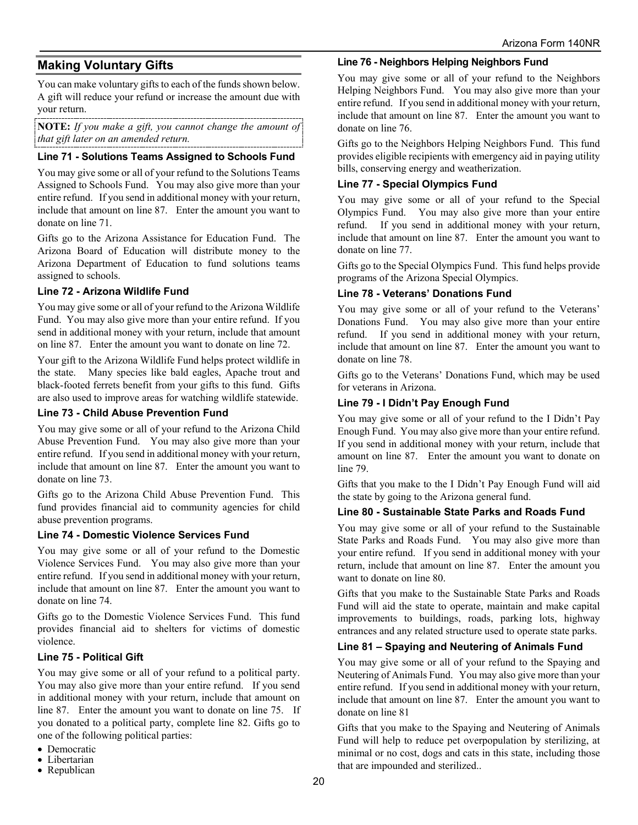## **Making Voluntary Gifts**

You can make voluntary gifts to each of the funds shown below. A gift will reduce your refund or increase the amount due with your return.

**NOTE:** *If you make a gift, you cannot change the amount of that gift later on an amended return.*

### **Line 71 - Solutions Teams Assigned to Schools Fund**

You may give some or all of your refund to the Solutions Teams Assigned to Schools Fund. You may also give more than your entire refund. If you send in additional money with your return, include that amount on line 87. Enter the amount you want to donate on line 71.

Gifts go to the Arizona Assistance for Education Fund. The Arizona Board of Education will distribute money to the Arizona Department of Education to fund solutions teams assigned to schools.

#### **Line 72 - Arizona Wildlife Fund**

You may give some or all of your refund to the Arizona Wildlife Fund. You may also give more than your entire refund. If you send in additional money with your return, include that amount on line 87. Enter the amount you want to donate on line 72.

Your gift to the Arizona Wildlife Fund helps protect wildlife in the state. Many species like bald eagles, Apache trout and black-footed ferrets benefit from your gifts to this fund. Gifts are also used to improve areas for watching wildlife statewide.

#### **Line 73 - Child Abuse Prevention Fund**

You may give some or all of your refund to the Arizona Child Abuse Prevention Fund. You may also give more than your entire refund. If you send in additional money with your return, include that amount on line 87. Enter the amount you want to donate on line 73.

Gifts go to the Arizona Child Abuse Prevention Fund. This fund provides financial aid to community agencies for child abuse prevention programs.

#### **Line 74 - Domestic Violence Services Fund**

You may give some or all of your refund to the Domestic Violence Services Fund. You may also give more than your entire refund. If you send in additional money with your return, include that amount on line 87. Enter the amount you want to donate on line 74.

Gifts go to the Domestic Violence Services Fund. This fund provides financial aid to shelters for victims of domestic violence.

#### **Line 75 - Political Gift**

You may give some or all of your refund to a political party. You may also give more than your entire refund. If you send in additional money with your return, include that amount on line 87. Enter the amount you want to donate on line 75. If you donated to a political party, complete line 82. Gifts go to one of the following political parties:

- Democratic<br>• Libertarian
- 
- Republican

#### **Line 76 - Neighbors Helping Neighbors Fund**

You may give some or all of your refund to the Neighbors Helping Neighbors Fund. You may also give more than your entire refund. If you send in additional money with your return, include that amount on line 87. Enter the amount you want to donate on line 76.

Gifts go to the Neighbors Helping Neighbors Fund. This fund provides eligible recipients with emergency aid in paying utility bills, conserving energy and weatherization.

#### **Line 77 - Special Olympics Fund**

You may give some or all of your refund to the Special Olympics Fund. You may also give more than your entire refund. If you send in additional money with your return, include that amount on line 87. Enter the amount you want to donate on line 77.

Gifts go to the Special Olympics Fund. This fund helps provide programs of the Arizona Special Olympics.

#### **Line 78 - Veterans' Donations Fund**

You may give some or all of your refund to the Veterans' Donations Fund. You may also give more than your entire refund. If you send in additional money with your return, include that amount on line 87. Enter the amount you want to donate on line 78.

Gifts go to the Veterans' Donations Fund, which may be used for veterans in Arizona.

#### **Line 79 - I Didn't Pay Enough Fund**

You may give some or all of your refund to the I Didn't Pay Enough Fund. You may also give more than your entire refund. If you send in additional money with your return, include that amount on line 87. Enter the amount you want to donate on line 79.

Gifts that you make to the I Didn't Pay Enough Fund will aid the state by going to the Arizona general fund.

#### **Line 80 - Sustainable State Parks and Roads Fund**

You may give some or all of your refund to the Sustainable State Parks and Roads Fund. You may also give more than your entire refund. If you send in additional money with your return, include that amount on line 87. Enter the amount you want to donate on line 80.

Gifts that you make to the Sustainable State Parks and Roads Fund will aid the state to operate, maintain and make capital improvements to buildings, roads, parking lots, highway entrances and any related structure used to operate state parks.

#### **Line 81 – Spaying and Neutering of Animals Fund**

You may give some or all of your refund to the Spaying and Neutering of Animals Fund. You may also give more than your entire refund. If you send in additional money with your return, include that amount on line 87. Enter the amount you want to donate on line 81

Gifts that you make to the Spaying and Neutering of Animals Fund will help to reduce pet overpopulation by sterilizing, at minimal or no cost, dogs and cats in this state, including those that are impounded and sterilized..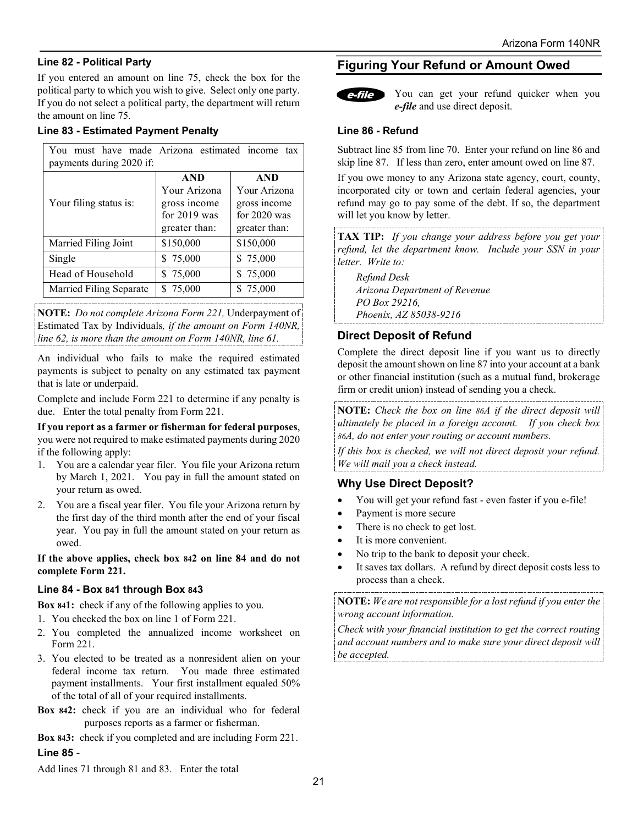#### **Line 82 - Political Party**

If you entered an amount on line 75, check the box for the political party to which you wish to give. Select only one party. If you do not select a political party, the department will return the amount on line 75.

#### **Line 83 - Estimated Payment Penalty**

| You must have made Arizona estimated income tax<br>payments during 2020 if: |                                                                               |                                                                               |  |  |  |
|-----------------------------------------------------------------------------|-------------------------------------------------------------------------------|-------------------------------------------------------------------------------|--|--|--|
| Your filing status is:                                                      | <b>AND</b><br>Your Arizona<br>gross income<br>for $2019$ was<br>greater than: | <b>AND</b><br>Your Arizona<br>gross income<br>for $2020$ was<br>greater than: |  |  |  |
| Married Filing Joint                                                        | \$150,000                                                                     | \$150,000                                                                     |  |  |  |
| Single                                                                      | \$75,000                                                                      | \$75,000                                                                      |  |  |  |
| Head of Household                                                           | \$75,000                                                                      | \$75,000                                                                      |  |  |  |
| Married Filing Separate                                                     | \$75,000                                                                      | \$75,000                                                                      |  |  |  |

**NOTE:** *Do not complete Arizona Form 221,* Underpayment of Estimated Tax by Individuals*, if the amount on Form 140NR, line 62, is more than the amount on Form 140NR, line 61.* 

An individual who fails to make the required estimated payments is subject to penalty on any estimated tax payment that is late or underpaid.

Complete and include Form 221 to determine if any penalty is due. Enter the total penalty from Form 221.

#### **If you report as a farmer or fisherman for federal purposes**, you were not required to make estimated payments during 2020 if the following apply:

- 1. You are a calendar year filer. You file your Arizona return by March 1, 2021. You pay in full the amount stated on your return as owed.
- 2. You are a fiscal year filer. You file your Arizona return by the first day of the third month after the end of your fiscal year. You pay in full the amount stated on your return as owed.

#### **If the above applies, check box 842 on line 84 and do not complete Form 221.**

#### **Line 84 - Box 841 through Box 843**

**Box 841:** check if any of the following applies to you.

- 1. You checked the box on line 1 of Form 221.
- 2. You completed the annualized income worksheet on Form 221.
- 3. You elected to be treated as a nonresident alien on your federal income tax return. You made three estimated payment installments. Your first installment equaled 50% of the total of all of your required installments.
- **Box 842:** check if you are an individual who for federal purposes reports as a farmer or fisherman.
- **Box 843:** check if you completed and are including Form 221. **Line 85** -

## **Figuring Your Refund or Amount Owed**



You can get your refund quicker when you *e-file* and use direct deposit.

#### **Line 86 - Refund**

Subtract line 85 from line 70. Enter your refund on line 86 and skip line 87. If less than zero, enter amount owed on line 87.

If you owe money to any Arizona state agency, court, county, incorporated city or town and certain federal agencies, your refund may go to pay some of the debt. If so, the department will let you know by letter.

**TAX TIP:** *If you change your address before you get your refund, let the department know. Include your SSN in your letter. Write to:* 

*Refund Desk Arizona Department of Revenue PO Box 29216, Phoenix, AZ 85038-9216* 

## **Direct Deposit of Refund**

Complete the direct deposit line if you want us to directly deposit the amount shown on line 87 into your account at a bank or other financial institution (such as a mutual fund, brokerage firm or credit union) instead of sending you a check.

**NOTE:** *Check the box on line 86A if the direct deposit will ultimately be placed in a foreign account. If you check box 86A, do not enter your routing or account numbers.* 

*If this box is checked, we will not direct deposit your refund. We will mail you a check instead.* 

## **Why Use Direct Deposit?**

- You will get your refund fast even faster if you e-file!
- Payment is more secure
- There is no check to get lost.
- It is more convenient.
- No trip to the bank to deposit your check.
- It saves tax dollars. A refund by direct deposit costs less to process than a check.

**NOTE:** *We are not responsible for a lost refund if you enter the wrong account information.* 

*Check with your financial institution to get the correct routing and account numbers and to make sure your direct deposit will be accepted.*

Add lines 71 through 81 and 83. Enter the total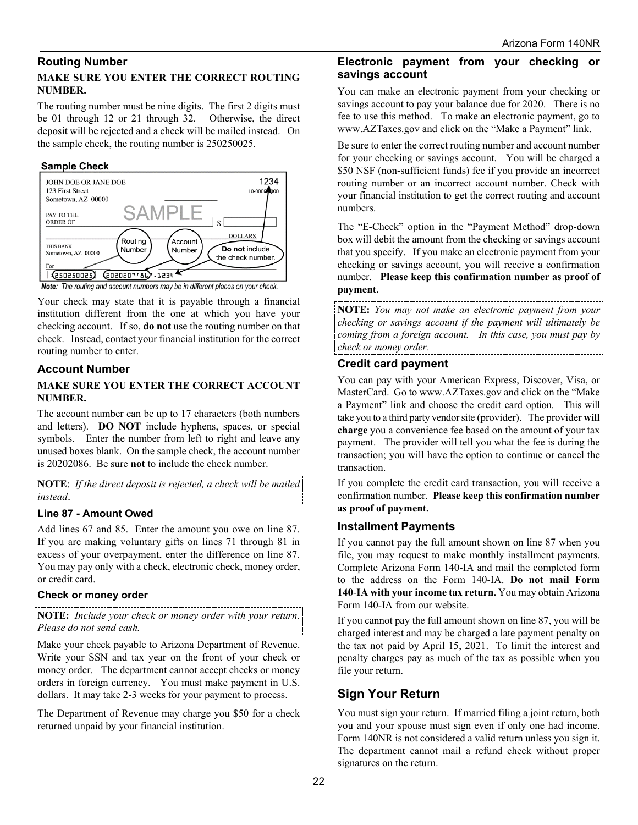## **Routing Number**

#### **MAKE SURE YOU ENTER THE CORRECT ROUTING NUMBER.**

The routing number must be nine digits. The first 2 digits must be 01 through 12 or 21 through 32. Otherwise, the direct deposit will be rejected and a check will be mailed instead. On the sample check, the routing number is 250250025.

#### **Sample Check**



Note: The routing and account numbers may be in different places on your check

Your check may state that it is payable through a financial institution different from the one at which you have your checking account. If so, **do not** use the routing number on that check. Instead, contact your financial institution for the correct routing number to enter.

## **Account Number**

### **MAKE SURE YOU ENTER THE CORRECT ACCOUNT NUMBER.**

The account number can be up to 17 characters (both numbers and letters). **DO NOT** include hyphens, spaces, or special symbols. Enter the number from left to right and leave any unused boxes blank. On the sample check, the account number is 20202086. Be sure **not** to include the check number.

**NOTE**: *If the direct deposit is rejected, a check will be mailed instead*.

## **Line 87 - Amount Owed**

Add lines 67 and 85. Enter the amount you owe on line 87. If you are making voluntary gifts on lines 71 through 81 in excess of your overpayment, enter the difference on line 87. You may pay only with a check, electronic check, money order, or credit card.

#### **Check or money order**

**NOTE:** *Include your check or money order with your return*. *Please do not send cash.*

Make your check payable to Arizona Department of Revenue. Write your SSN and tax year on the front of your check or money order. The department cannot accept checks or money orders in foreign currency. You must make payment in U.S. dollars. It may take 2-3 weeks for your payment to process.

The Department of Revenue may charge you \$50 for a check returned unpaid by your financial institution.

## **Electronic payment from your checking or savings account**

You can make an electronic payment from your checking or savings account to pay your balance due for 2020. There is no fee to use this method. To make an electronic payment, go to www.AZTaxes.gov and click on the "Make a Payment" link.

Be sure to enter the correct routing number and account number for your checking or savings account. You will be charged a \$50 NSF (non-sufficient funds) fee if you provide an incorrect routing number or an incorrect account number. Check with your financial institution to get the correct routing and account numbers.

The "E-Check" option in the "Payment Method" drop-down box will debit the amount from the checking or savings account that you specify. If you make an electronic payment from your checking or savings account, you will receive a confirmation number. **Please keep this confirmation number as proof of payment.**

**NOTE:** *You may not make an electronic payment from your checking or savings account if the payment will ultimately be coming from a foreign account. In this case, you must pay by check or money order.* 

#### **Credit card payment**

You can pay with your American Express, Discover, Visa, or MasterCard. Go to www.AZTaxes.gov and click on the "Make a Payment" link and choose the credit card option. This will take you to a third party vendor site (provider). The provider **will charge** you a convenience fee based on the amount of your tax payment. The provider will tell you what the fee is during the transaction; you will have the option to continue or cancel the transaction.

If you complete the credit card transaction, you will receive a confirmation number. **Please keep this confirmation number as proof of payment.**

## **Installment Payments**

If you cannot pay the full amount shown on line 87 when you file, you may request to make monthly installment payments. Complete Arizona Form 140-IA and mail the completed form to the address on the Form 140-IA. **Do not mail Form 140**-**IA with your income tax return.** You may obtain Arizona Form 140-IA from our website.

If you cannot pay the full amount shown on line 87, you will be charged interest and may be charged a late payment penalty on the tax not paid by April 15, 2021. To limit the interest and penalty charges pay as much of the tax as possible when you file your return.

## **Sign Your Return**

You must sign your return. If married filing a joint return, both you and your spouse must sign even if only one had income. Form 140NR is not considered a valid return unless you sign it. The department cannot mail a refund check without proper signatures on the return.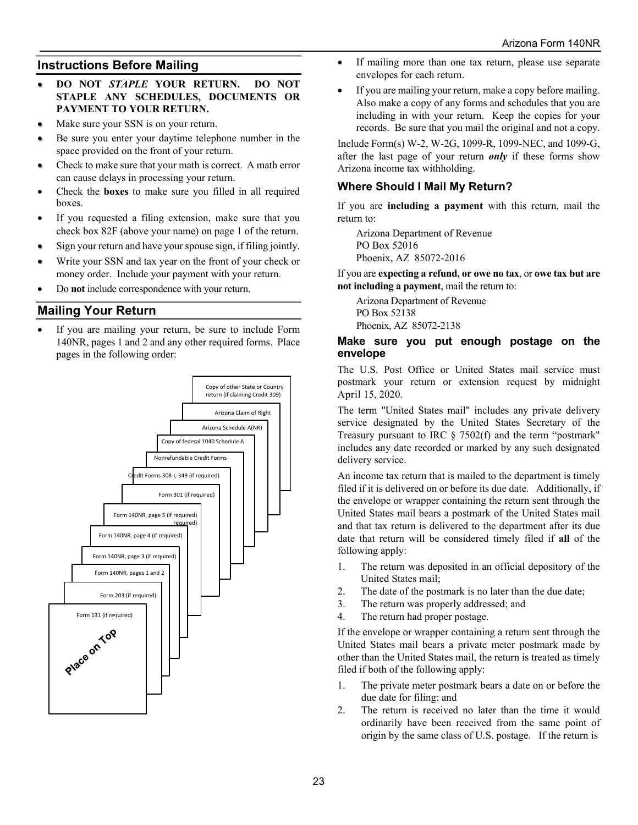## **Instructions Before Mailing**

- **DO NOT** *STAPLE* **YOUR RETURN. DO NOT STAPLE ANY SCHEDULES, DOCUMENTS OR PAYMENT TO YOUR RETURN.**
- Make sure your SSN is on your return.
- Be sure you enter your daytime telephone number in the space provided on the front of your return.
- Check to make sure that your math is correct. A math error can cause delays in processing your return.
- Check the **boxes** to make sure you filled in all required boxes.
- If you requested a filing extension, make sure that you check box 82F (above your name) on page 1 of the return.
- Sign your return and have your spouse sign, if filing jointly.
- Write your SSN and tax year on the front of your check or money order. Include your payment with your return.
- Do **not** include correspondence with your return.

## **Mailing Your Return**

If you are mailing your return, be sure to include Form 140NR, pages 1 and 2 and any other required forms. Place pages in the following order:



- If mailing more than one tax return, please use separate envelopes for each return.
- If you are mailing your return, make a copy before mailing. Also make a copy of any forms and schedules that you are including in with your return. Keep the copies for your records. Be sure that you mail the original and not a copy.

Include Form(s) W-2, W-2G, 1099-R, 1099-NEC, and 1099-G, after the last page of your return *only* if these forms show Arizona income tax withholding.

## **Where Should I Mail My Return?**

If you are **including a payment** with this return, mail the return to:

Arizona Department of Revenue PO Box 52016 Phoenix, AZ 85072-2016

If you are **expecting a refund, or owe no tax**, or **owe tax but are not including a payment**, mail the return to:

Arizona Department of Revenue PO Box 52138 Phoenix, AZ 85072-2138

## **Make sure you put enough postage on the envelope**

The U.S. Post Office or United States mail service must postmark your return or extension request by midnight April 15, 2020.

The term "United States mail" includes any private delivery service designated by the United States Secretary of the Treasury pursuant to IRC § 7502(f) and the term "postmark" includes any date recorded or marked by any such designated delivery service.

An income tax return that is mailed to the department is timely filed if it is delivered on or before its due date. Additionally, if the envelope or wrapper containing the return sent through the United States mail bears a postmark of the United States mail and that tax return is delivered to the department after its due date that return will be considered timely filed if **all** of the following apply:

- 1. The return was deposited in an official depository of the United States mail;
- 2. The date of the postmark is no later than the due date;
- 3. The return was properly addressed; and
- 4. The return had proper postage.

If the envelope or wrapper containing a return sent through the United States mail bears a private meter postmark made by other than the United States mail, the return is treated as timely filed if both of the following apply:

- 1. The private meter postmark bears a date on or before the due date for filing; and
- 2. The return is received no later than the time it would ordinarily have been received from the same point of origin by the same class of U.S. postage. If the return is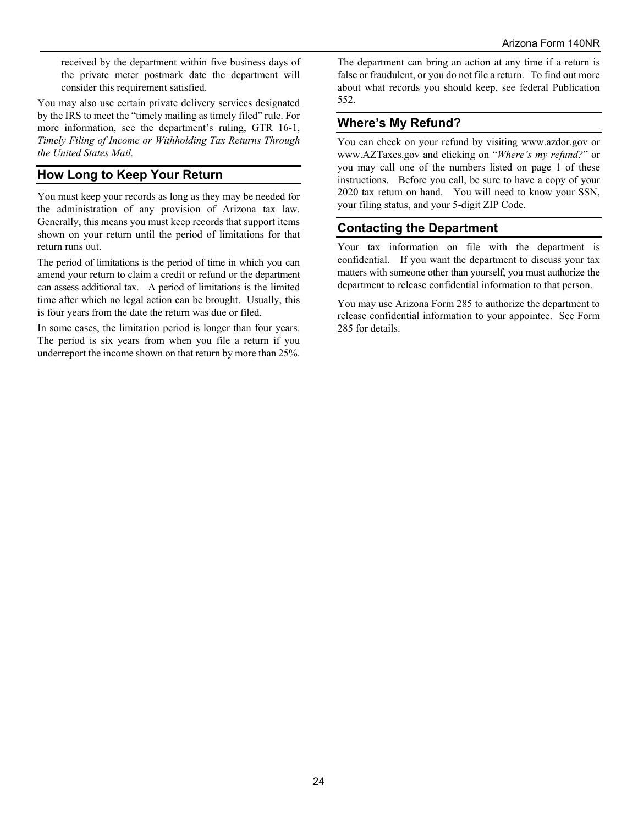received by the department within five business days of the private meter postmark date the department will consider this requirement satisfied.

You may also use certain private delivery services designated by the IRS to meet the "timely mailing as timely filed" rule. For more information, see the department's ruling, GTR 16-1, *Timely Filing of Income or Withholding Tax Returns Through the United States Mail.*

## **How Long to Keep Your Return**

You must keep your records as long as they may be needed for the administration of any provision of Arizona tax law. Generally, this means you must keep records that support items shown on your return until the period of limitations for that return runs out.

The period of limitations is the period of time in which you can amend your return to claim a credit or refund or the department can assess additional tax. A period of limitations is the limited time after which no legal action can be brought. Usually, this is four years from the date the return was due or filed.

In some cases, the limitation period is longer than four years. The period is six years from when you file a return if you underreport the income shown on that return by more than 25%. The department can bring an action at any time if a return is false or fraudulent, or you do not file a return. To find out more about what records you should keep, see federal Publication 552.

## **Where's My Refund?**

You can check on your refund by visiting www.azdor.gov or www.AZTaxes.gov and clicking on "*Where's my refund?*" or you may call one of the numbers listed on page 1 of these instructions. Before you call, be sure to have a copy of your 2020 tax return on hand. You will need to know your SSN, your filing status, and your 5-digit ZIP Code.

## **Contacting the Department**

Your tax information on file with the department is confidential. If you want the department to discuss your tax matters with someone other than yourself, you must authorize the department to release confidential information to that person.

You may use Arizona Form 285 to authorize the department to release confidential information to your appointee. See Form 285 for details.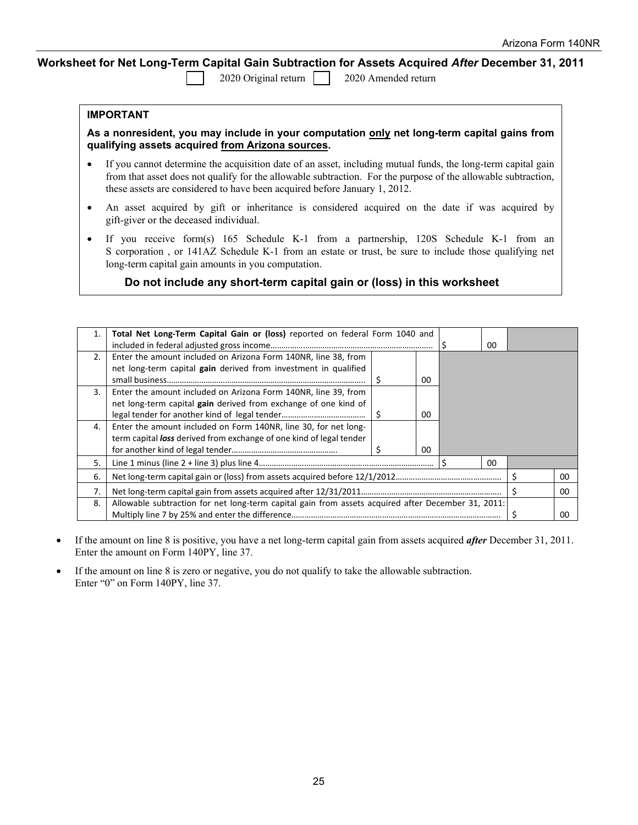## **Worksheet for Net Long-Term Capital Gain Subtraction for Assets Acquired** *After* **December 31, 2011**

2020 Original return | 2020 Amended return

#### **IMPORTANT**

**As a nonresident, you may include in your computation only net long-term capital gains from qualifying assets acquired from Arizona sources.** 

- If you cannot determine the acquisition date of an asset, including mutual funds, the long-term capital gain from that asset does not qualify for the allowable subtraction. For the purpose of the allowable subtraction, these assets are considered to have been acquired before January 1, 2012.
- An asset acquired by gift or inheritance is considered acquired on the date if was acquired by gift-giver or the deceased individual.
- If you receive form(s) 165 Schedule K-1 from a partnership, 120S Schedule K-1 from an S corporation , or 141AZ Schedule K-1 from an estate or trust, be sure to include those qualifying net long-term capital gain amounts in you computation.

## **Do not include any short-term capital gain or (loss) in this worksheet**

| 1. | Total Net Long-Term Capital Gain or (loss) reported on federal Form 1040 and                       |  |    |  |    |    |
|----|----------------------------------------------------------------------------------------------------|--|----|--|----|----|
|    |                                                                                                    |  |    |  | 00 |    |
| 2. | Enter the amount included on Arizona Form 140NR, line 38, from                                     |  |    |  |    |    |
|    | net long-term capital gain derived from investment in qualified                                    |  |    |  |    |    |
|    |                                                                                                    |  | 00 |  |    |    |
| 3. | Enter the amount included on Arizona Form 140NR, line 39, from                                     |  |    |  |    |    |
|    | net long-term capital gain derived from exchange of one kind of                                    |  |    |  |    |    |
|    |                                                                                                    |  | 00 |  |    |    |
| 4. | Enter the amount included on Form 140NR, line 30, for net long-                                    |  |    |  |    |    |
|    | term capital loss derived from exchange of one kind of legal tender                                |  |    |  |    |    |
|    |                                                                                                    |  | 00 |  |    |    |
| 5. | 00                                                                                                 |  |    |  |    |    |
| 6. |                                                                                                    |  |    |  |    | 00 |
| 7. |                                                                                                    |  |    |  |    | 00 |
| 8. | Allowable subtraction for net long-term capital gain from assets acquired after December 31, 2011: |  |    |  |    |    |
|    |                                                                                                    |  |    |  |    | 00 |

- If the amount on line 8 is positive, you have a net long-term capital gain from assets acquired *after* December 31, 2011. Enter the amount on Form 140PY, line 37.
- If the amount on line 8 is zero or negative, you do not qualify to take the allowable subtraction. Enter "0" on Form 140PY, line 37.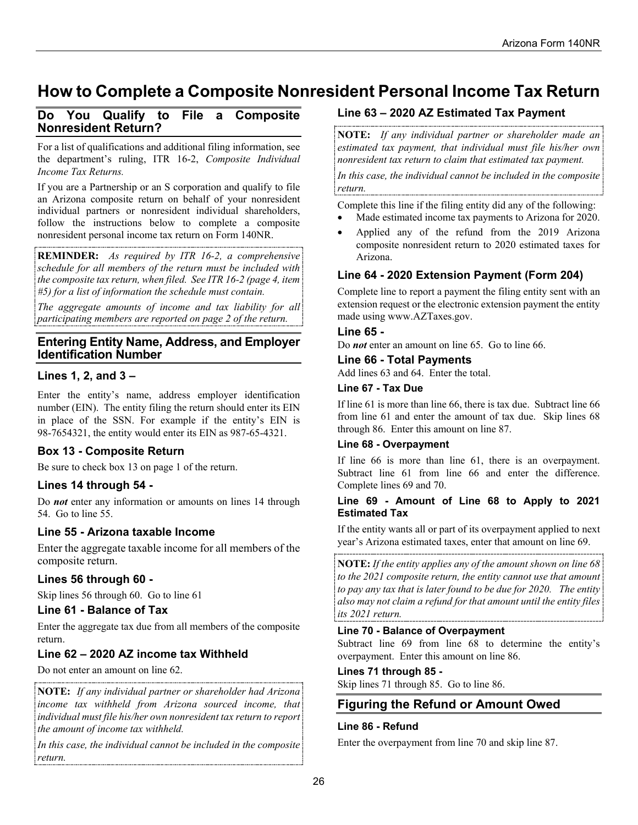# **How to Complete a Composite Nonresident Personal Income Tax Return**

## **Do You Qualify to File a Composite Nonresident Return?**

For a list of qualifications and additional filing information, see the department's ruling, ITR 16-2, *Composite Individual Income Tax Returns.*

If you are a Partnership or an S corporation and qualify to file an Arizona composite return on behalf of your nonresident individual partners or nonresident individual shareholders, follow the instructions below to complete a composite nonresident personal income tax return on Form 140NR.

**REMINDER:** *As required by ITR 16-2, a comprehensive schedule for all members of the return must be included with the composite tax return, when filed. See ITR 16-2 (page 4, item #5) for a list of information the schedule must contain.*

*The aggregate amounts of income and tax liability for all participating members are reported on page 2 of the return.*

## **Entering Entity Name, Address, and Employer Identification Number**

## **Lines 1, 2, and 3 –**

Enter the entity's name, address employer identification number (EIN). The entity filing the return should enter its EIN in place of the SSN. For example if the entity's EIN is 98-7654321, the entity would enter its EIN as 987-65-4321.

## **Box 13 - Composite Return**

Be sure to check box 13 on page 1 of the return.

## **Lines 14 through 54 -**

Do *not* enter any information or amounts on lines 14 through 54. Go to line 55.

## **Line 55 - Arizona taxable Income**

Enter the aggregate taxable income for all members of the composite return.

## **Lines 56 through 60 -**

Skip lines 56 through 60. Go to line 61

## **Line 61 - Balance of Tax**

Enter the aggregate tax due from all members of the composite return.

## **Line 62 – 2020 AZ income tax Withheld**

Do not enter an amount on line 62.

**NOTE:** *If any individual partner or shareholder had Arizona income tax withheld from Arizona sourced income, that individual must file his/her own nonresident tax return to report the amount of income tax withheld.*

*In this case, the individual cannot be included in the composite return.* 

## **Line 63 – 2020 AZ Estimated Tax Payment**

**NOTE:** *If any individual partner or shareholder made an estimated tax payment, that individual must file his/her own nonresident tax return to claim that estimated tax payment.* 

*In this case, the individual cannot be included in the composite return.* 

Complete this line if the filing entity did any of the following:

- Made estimated income tax payments to Arizona for 2020.
- Applied any of the refund from the 2019 Arizona composite nonresident return to 2020 estimated taxes for Arizona.

## **Line 64 - 2020 Extension Payment (Form 204)**

Complete line to report a payment the filing entity sent with an extension request or the electronic extension payment the entity made using www.AZTaxes.gov.

## **Line 65 -**

Do *not* enter an amount on line 65. Go to line 66.

## **Line 66 - Total Payments**

Add lines 63 and 64. Enter the total.

#### **Line 67 - Tax Due**

If line 61 is more than line 66, there is tax due. Subtract line 66 from line 61 and enter the amount of tax due. Skip lines 68 through 86. Enter this amount on line 87.

## **Line 68 - Overpayment**

If line 66 is more than line 61, there is an overpayment. Subtract line 61 from line 66 and enter the difference. Complete lines 69 and 70.

#### **Line 69 - Amount of Line 68 to Apply to 2021 Estimated Tax**

If the entity wants all or part of its overpayment applied to next year's Arizona estimated taxes, enter that amount on line 69.

**NOTE:** *If the entity applies any of the amount shown on line 68 to the 2021 composite return, the entity cannot use that amount to pay any tax that is later found to be due for 2020. The entity also may not claim a refund for that amount until the entity files its 2021 return.*

#### **Line 70 - Balance of Overpayment**

Subtract line 69 from line 68 to determine the entity's overpayment. Enter this amount on line 86.

## **Lines 71 through 85 -**

Skip lines 71 through 85. Go to line 86.

## **Figuring the Refund or Amount Owed**

## **Line 86 - Refund**

Enter the overpayment from line 70 and skip line 87.